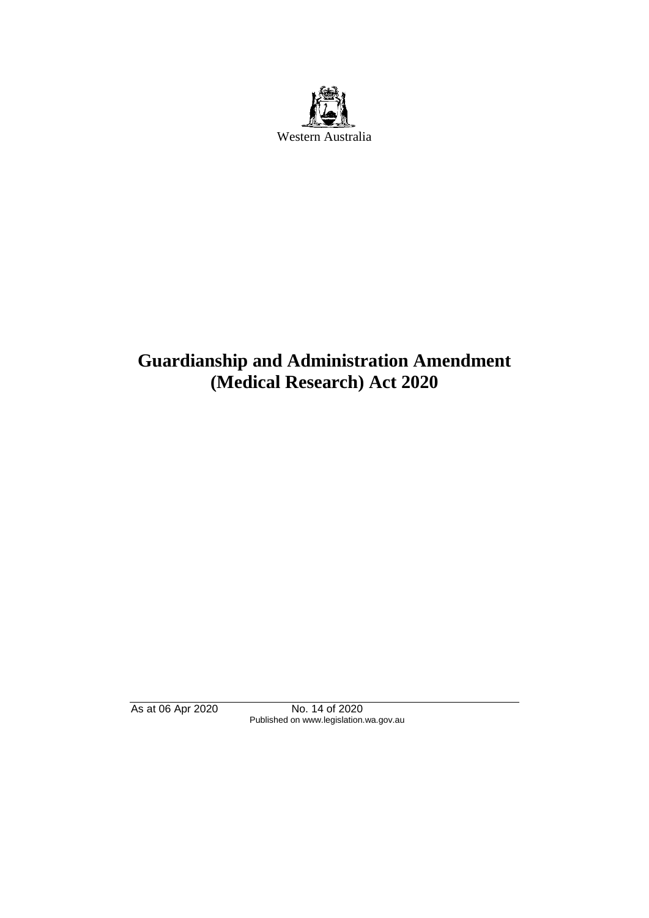

# **Guardianship and Administration Amendment (Medical Research) Act 2020**

As at 06 Apr 2020 No. 14 of 2020 Published on www.legislation.wa.gov.au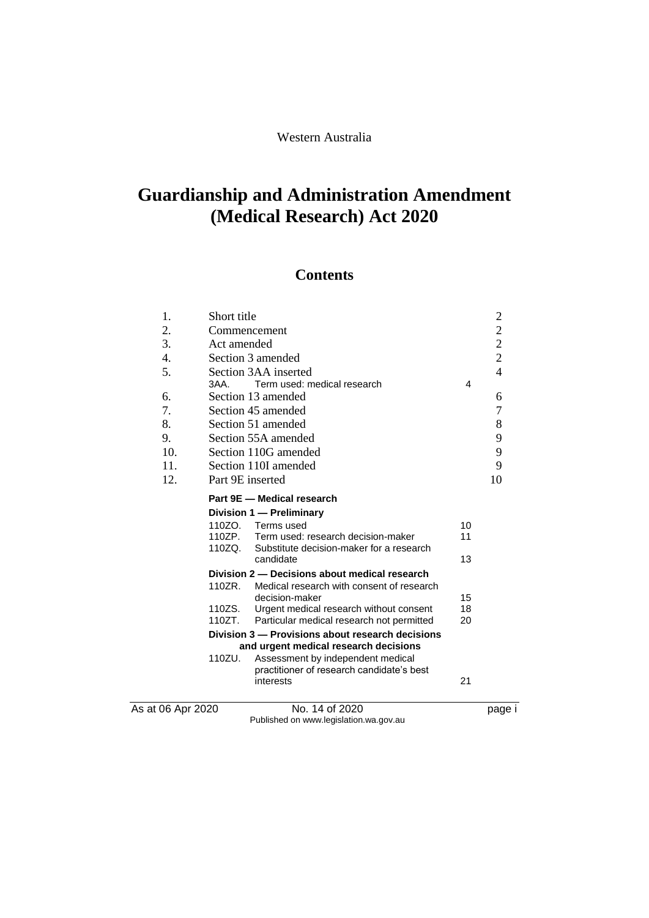# **Guardianship and Administration Amendment (Medical Research) Act 2020**

# **Contents**

| 1.                | Short title          |                                                                            |    | $\overline{\mathbf{c}}$                    |
|-------------------|----------------------|----------------------------------------------------------------------------|----|--------------------------------------------|
| 2.                | Commencement         |                                                                            |    | $\begin{array}{c} 2 \\ 2 \\ 2 \end{array}$ |
| 3.                | Act amended          |                                                                            |    |                                            |
| 4.                |                      | Section 3 amended                                                          |    |                                            |
| 5.                | Section 3AA inserted |                                                                            |    | $\overline{4}$                             |
|                   | $3AA$ .              | Term used: medical research                                                | 4  |                                            |
| 6.                |                      | Section 13 amended                                                         |    | 6                                          |
| 7.                |                      | Section 45 amended                                                         |    | 7                                          |
| 8.                |                      | Section 51 amended                                                         |    | 8                                          |
| 9.                |                      | Section 55A amended                                                        |    | 9                                          |
| 10.               |                      | Section 110G amended                                                       |    | 9                                          |
| 11.               |                      | Section 110I amended                                                       |    | 9                                          |
| 12.               | Part 9E inserted     |                                                                            |    | 10                                         |
|                   |                      | Part 9E - Medical research                                                 |    |                                            |
|                   |                      | Division 1 - Preliminary                                                   |    |                                            |
|                   |                      | 110ZO. Terms used                                                          | 10 |                                            |
|                   | 110ZP.               | Term used: research decision-maker                                         | 11 |                                            |
|                   | 110ZQ.               | Substitute decision-maker for a research<br>candidate                      | 13 |                                            |
|                   |                      | Division 2 – Decisions about medical research                              |    |                                            |
|                   | 110ZR.               | Medical research with consent of research                                  |    |                                            |
|                   |                      | decision-maker                                                             | 15 |                                            |
|                   | 110ZS.               | Urgent medical research without consent                                    | 18 |                                            |
|                   | 110ZT.               | Particular medical research not permitted                                  | 20 |                                            |
|                   |                      | Division 3 - Provisions about research decisions                           |    |                                            |
|                   | 110ZU.               | and urgent medical research decisions<br>Assessment by independent medical |    |                                            |
|                   |                      | practitioner of research candidate's best                                  |    |                                            |
|                   |                      | interests                                                                  | 21 |                                            |
| As at 06 Apr 2020 |                      | No. 14 of 2020                                                             |    |                                            |
|                   |                      |                                                                            |    | page                                       |

Published on www.legislation.wa.gov.au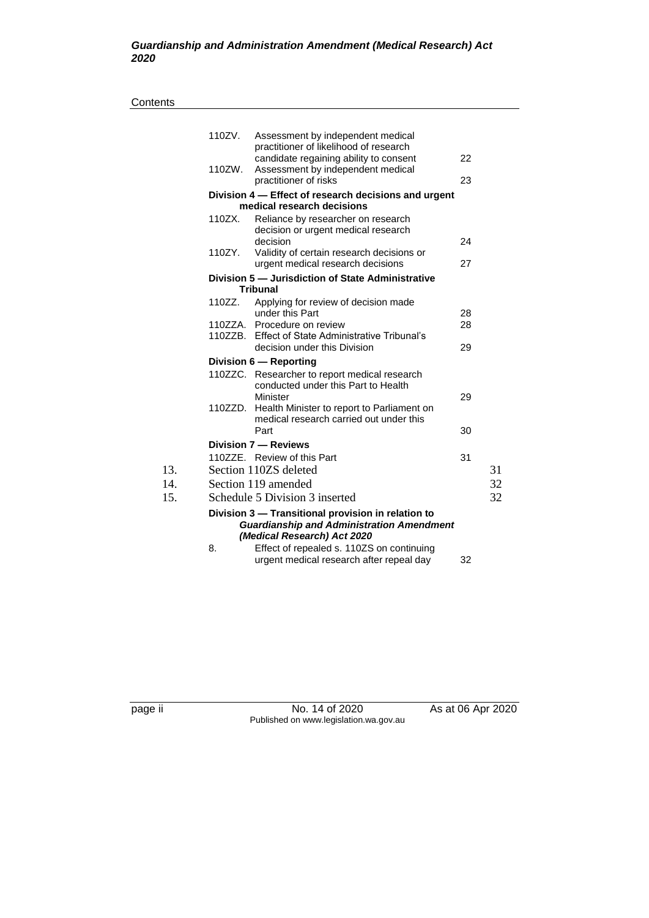#### **Contents**

|     | 110ZV.                    | Assessment by independent medical<br>practitioner of likelihood of research    |    |    |  |  |
|-----|---------------------------|--------------------------------------------------------------------------------|----|----|--|--|
|     | 110ZW.                    | candidate regaining ability to consent<br>Assessment by independent medical    | 22 |    |  |  |
|     |                           | practitioner of risks                                                          | 23 |    |  |  |
|     |                           | Division 4 - Effect of research decisions and urgent                           |    |    |  |  |
|     |                           | medical research decisions                                                     |    |    |  |  |
|     | 110ZX.                    | Reliance by researcher on research<br>decision or urgent medical research      |    |    |  |  |
|     |                           | decision                                                                       | 24 |    |  |  |
|     | 110ZY.                    | Validity of certain research decisions or<br>urgent medical research decisions | 27 |    |  |  |
|     |                           | Division 5 - Jurisdiction of State Administrative                              |    |    |  |  |
|     |                           | <b>Tribunal</b>                                                                |    |    |  |  |
|     | 110ZZ.                    | Applying for review of decision made                                           |    |    |  |  |
|     |                           | under this Part                                                                | 28 |    |  |  |
|     |                           | 110ZZA. Procedure on review                                                    | 28 |    |  |  |
|     |                           | 110ZZB. Effect of State Administrative Tribunal's                              |    |    |  |  |
|     |                           | decision under this Division                                                   | 29 |    |  |  |
|     |                           | Division 6 - Reporting                                                         |    |    |  |  |
|     |                           | 110ZZC. Researcher to report medical research                                  |    |    |  |  |
|     |                           | conducted under this Part to Health                                            |    |    |  |  |
|     |                           | Minister                                                                       | 29 |    |  |  |
|     | 110ZZD.                   | Health Minister to report to Parliament on                                     |    |    |  |  |
|     |                           | medical research carried out under this                                        |    |    |  |  |
|     |                           | Part                                                                           | 30 |    |  |  |
|     |                           | Division 7 - Reviews                                                           |    |    |  |  |
|     |                           | 110ZZE. Review of this Part                                                    | 31 |    |  |  |
| 13. |                           | Section 110ZS deleted                                                          |    | 31 |  |  |
| 14. | 32<br>Section 119 amended |                                                                                |    |    |  |  |
| 15. |                           | Schedule 5 Division 3 inserted                                                 |    | 32 |  |  |
|     |                           | Division 3 - Transitional provision in relation to                             |    |    |  |  |
|     |                           | <b>Guardianship and Administration Amendment</b>                               |    |    |  |  |
|     |                           | (Medical Research) Act 2020                                                    |    |    |  |  |
|     | 8.                        | Effect of repealed s. 110ZS on continuing                                      |    |    |  |  |
|     |                           | urgent medical research after repeal day                                       | 32 |    |  |  |

page ii No. 14 of 2020 As at 06 Apr 2020 Published on www.legislation.wa.gov.au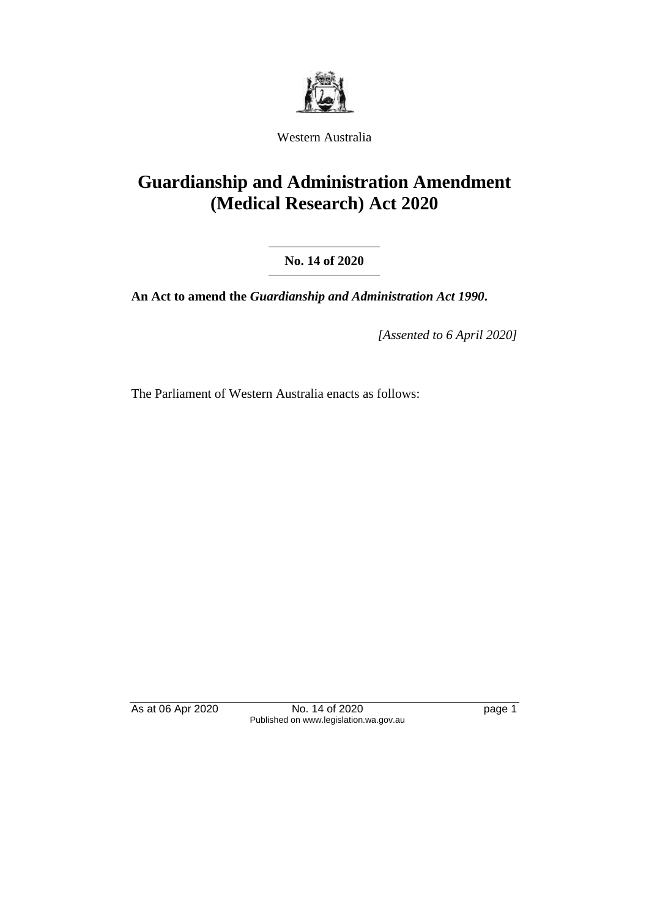

Western Australia

# **Guardianship and Administration Amendment (Medical Research) Act 2020**

**No. 14 of 2020**

**An Act to amend the** *Guardianship and Administration Act 1990***.**

*[Assented to 6 April 2020]*

The Parliament of Western Australia enacts as follows:

As at 06 Apr 2020 No. 14 of 2020 have page 1 Published on www.legislation.wa.gov.au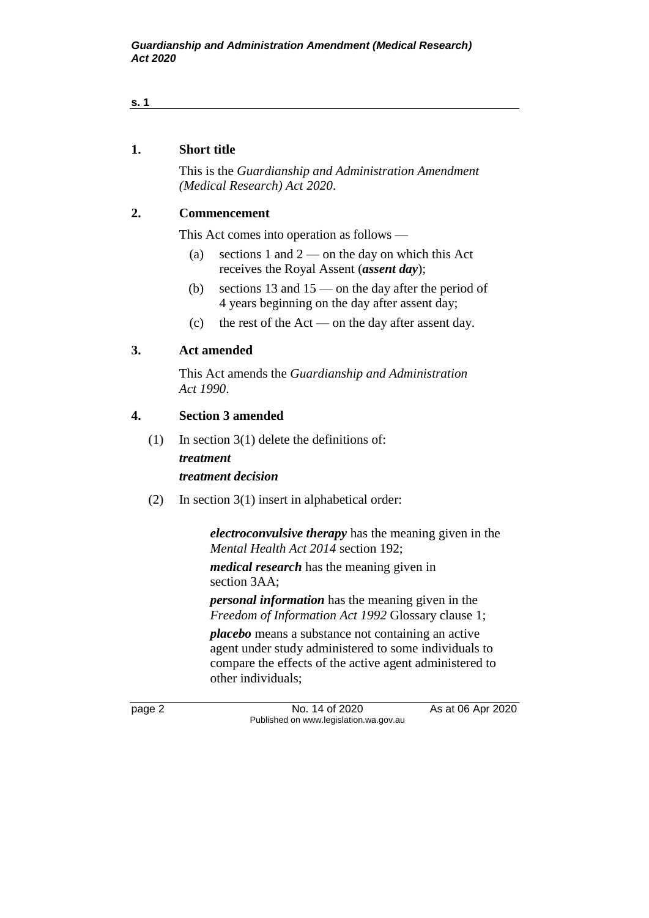# **1. Short title**

This is the *Guardianship and Administration Amendment (Medical Research) Act 2020*.

### **2. Commencement**

This Act comes into operation as follows —

- (a) sections 1 and  $2$  on the day on which this Act receives the Royal Assent (*assent day*);
- (b) sections 13 and  $15$  on the day after the period of 4 years beginning on the day after assent day;
- (c) the rest of the Act on the day after assent day.

### **3. Act amended**

This Act amends the *Guardianship and Administration Act 1990*.

#### **4. Section 3 amended**

(1) In section 3(1) delete the definitions of:

# *treatment*

# *treatment decision*

(2) In section 3(1) insert in alphabetical order:

*electroconvulsive therapy* has the meaning given in the *Mental Health Act 2014* section 192;

*medical research* has the meaning given in section 3AA;

*personal information* has the meaning given in the *Freedom of Information Act 1992* Glossary clause 1;

*placebo* means a substance not containing an active agent under study administered to some individuals to compare the effects of the active agent administered to other individuals;

page 2 **No. 14 of 2020** As at 06 Apr 2020 Published on www.legislation.wa.gov.au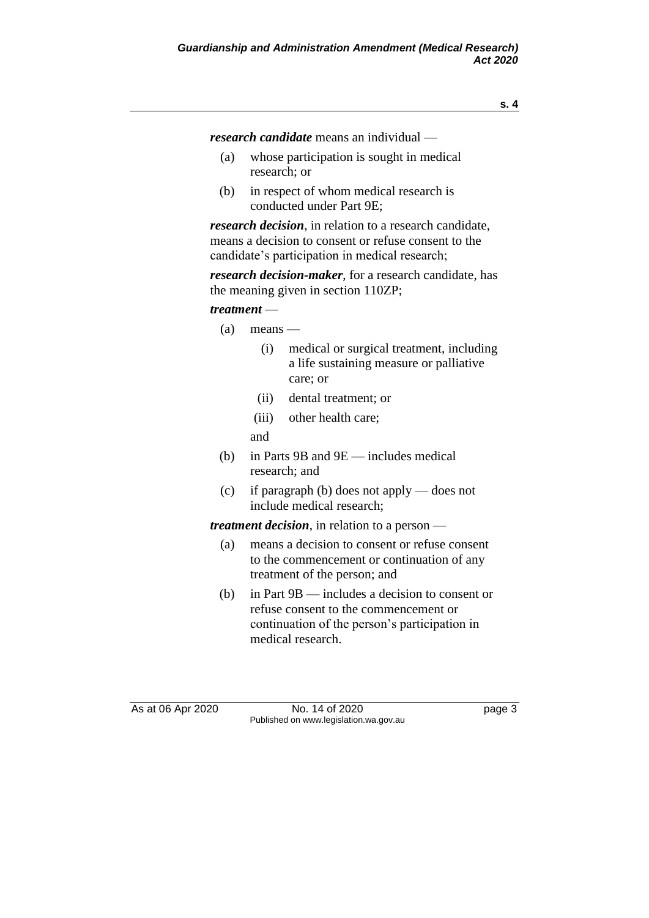*research candidate* means an individual —

- (a) whose participation is sought in medical research; or
- (b) in respect of whom medical research is conducted under Part 9E;

*research decision*, in relation to a research candidate, means a decision to consent or refuse consent to the candidate's participation in medical research;

*research decision-maker*, for a research candidate, has the meaning given in section 110ZP;

#### *treatment* —

- (a) means
	- (i) medical or surgical treatment, including a life sustaining measure or palliative care; or
	- (ii) dental treatment; or
	- (iii) other health care;

and

- (b) in Parts 9B and 9E includes medical research; and
- (c) if paragraph (b) does not apply does not include medical research;

*treatment decision*, in relation to a person —

- (a) means a decision to consent or refuse consent to the commencement or continuation of any treatment of the person; and
- (b) in Part 9B includes a decision to consent or refuse consent to the commencement or continuation of the person's participation in medical research.

As at 06 Apr 2020 No. 14 of 2020 Page 3 Published on www.legislation.wa.gov.au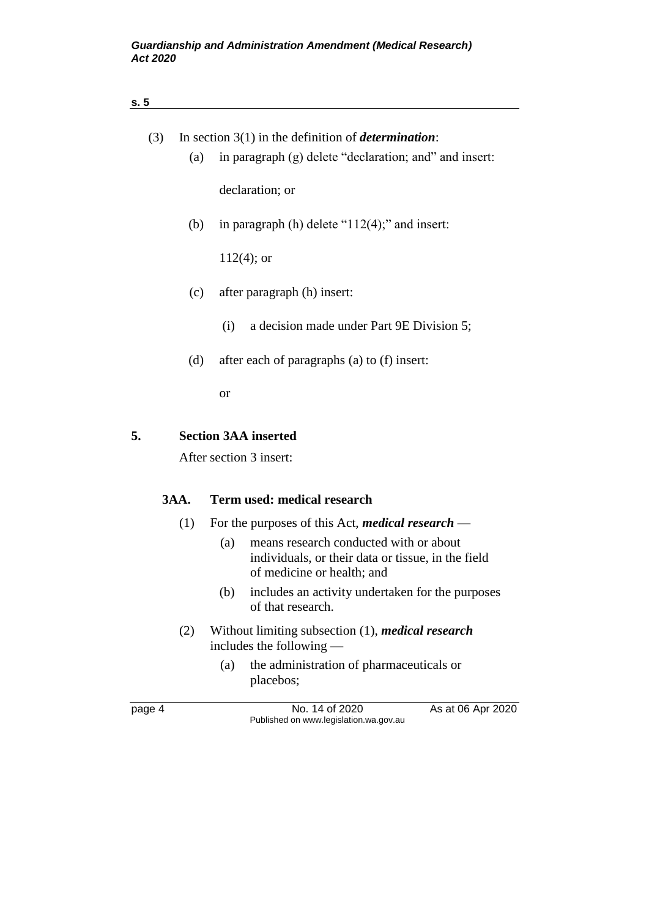| s.5         |                                                                                                                                   |
|-------------|-----------------------------------------------------------------------------------------------------------------------------------|
| (3)         | In section $3(1)$ in the definition of <i>determination</i> :                                                                     |
| (a)         | in paragraph (g) delete "declaration; and" and insert:                                                                            |
|             | declaration; or                                                                                                                   |
| (b)         | in paragraph (h) delete " $112(4)$ ;" and insert:                                                                                 |
|             | $112(4)$ ; or                                                                                                                     |
| (c)         | after paragraph (h) insert:                                                                                                       |
|             | a decision made under Part 9E Division 5;<br>(i)                                                                                  |
| (d)         | after each of paragraphs (a) to (f) insert:                                                                                       |
|             | <sub>or</sub>                                                                                                                     |
| 5.          | <b>Section 3AA inserted</b>                                                                                                       |
|             | After section 3 insert:                                                                                                           |
| <b>3AA.</b> | Term used: medical research                                                                                                       |
| (1)         | For the purposes of this Act, <i>medical research</i> —                                                                           |
|             | means research conducted with or about<br>(a)<br>individuals, or their data or tissue, in the field<br>of medicine or health; and |
|             | (b)<br>includes an activity undertaken for the purposes<br>of that research.                                                      |
| (2)         | Without limiting subsection (1), medical research<br>includes the following                                                       |
|             | the administration of pharmaceuticals or<br>(a)<br>placebos;                                                                      |
| page 4      | No. 14 of 2020<br>As at 06 Apr 2020<br>Published on www.legislation.wa.gov.au                                                     |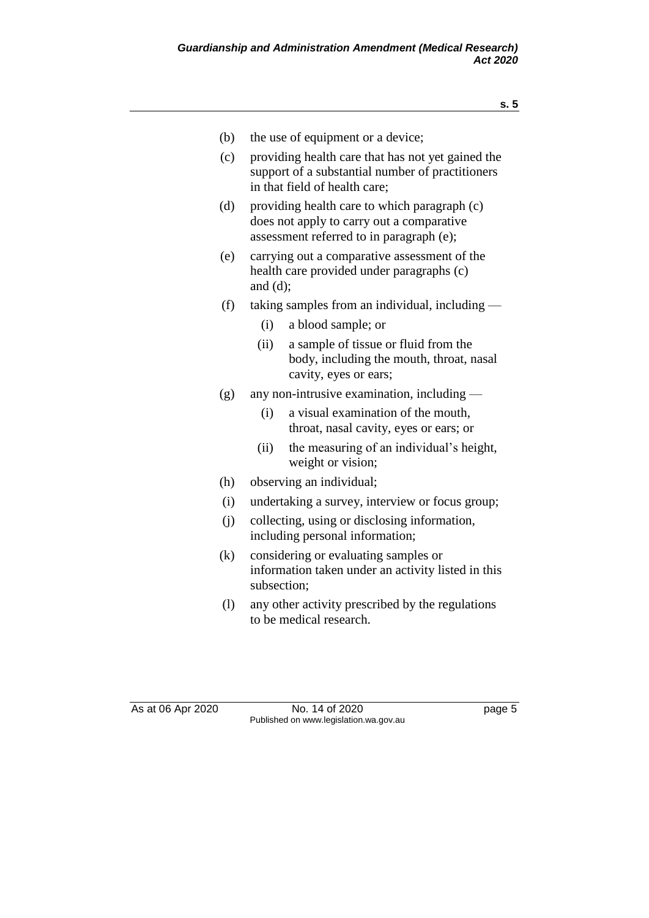- (b) the use of equipment or a device;
- (c) providing health care that has not yet gained the support of a substantial number of practitioners in that field of health care;
- (d) providing health care to which paragraph (c) does not apply to carry out a comparative assessment referred to in paragraph (e);
- (e) carrying out a comparative assessment of the health care provided under paragraphs (c) and (d);
- (f) taking samples from an individual, including
	- (i) a blood sample; or
	- (ii) a sample of tissue or fluid from the body, including the mouth, throat, nasal cavity, eyes or ears;
- (g) any non-intrusive examination, including
	- (i) a visual examination of the mouth, throat, nasal cavity, eyes or ears; or
	- (ii) the measuring of an individual's height, weight or vision;
- (h) observing an individual;
- (i) undertaking a survey, interview or focus group;
- (j) collecting, using or disclosing information, including personal information;
- (k) considering or evaluating samples or information taken under an activity listed in this subsection;
- (l) any other activity prescribed by the regulations to be medical research.

As at 06 Apr 2020 No. 14 of 2020 had page 5 Published on www.legislation.wa.gov.au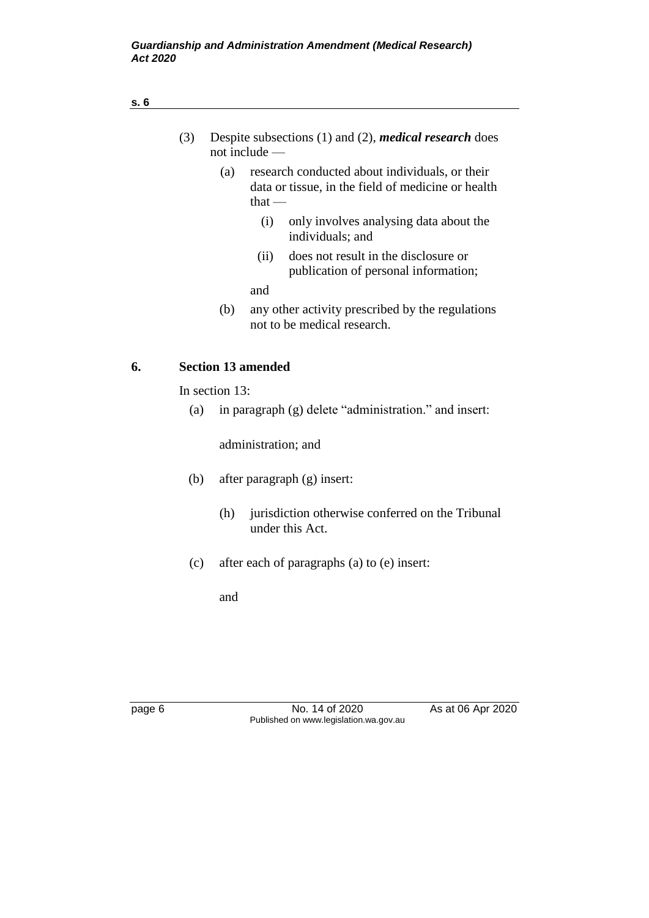| (3) |  |     | $not$ include $-$ | Despite subsections $(1)$ and $(2)$ , <i>medical research</i> does                                   |
|-----|--|-----|-------------------|------------------------------------------------------------------------------------------------------|
|     |  | (a) | that $-$          | research conducted about individuals, or their<br>data or tissue, in the field of medicine or health |
|     |  |     | (i)               | only involves analysing data about the<br>individuals; and                                           |
|     |  |     | (i)               | does not result in the disclosure or<br>publication of personal information;                         |
|     |  |     | and               |                                                                                                      |
|     |  |     |                   |                                                                                                      |

(b) any other activity prescribed by the regulations not to be medical research.

# **6. Section 13 amended**

In section 13:

(a) in paragraph (g) delete "administration." and insert:

administration; and

- (b) after paragraph (g) insert:
	- (h) jurisdiction otherwise conferred on the Tribunal under this Act.
- (c) after each of paragraphs (a) to (e) insert:

and

page 6 No. 14 of 2020 As at 06 Apr 2020 Published on www.legislation.wa.gov.au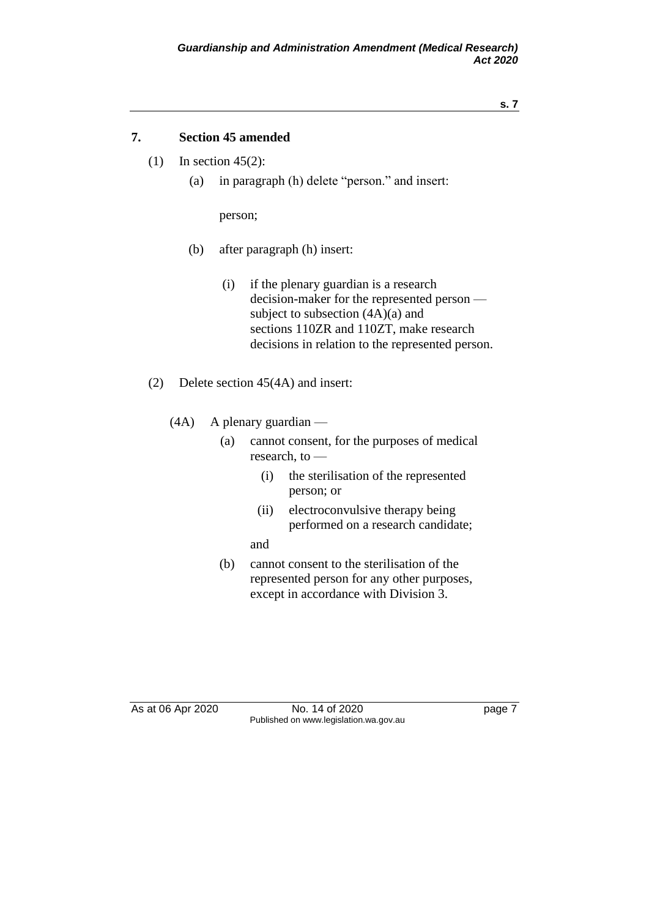### **7. Section 45 amended**

- (1) In section 45(2):
	- (a) in paragraph (h) delete "person." and insert:

person;

- (b) after paragraph (h) insert:
	- (i) if the plenary guardian is a research decision-maker for the represented person subject to subsection (4A)(a) and sections 110ZR and 110ZT, make research decisions in relation to the represented person.
- (2) Delete section 45(4A) and insert:
	- (4A) A plenary guardian
		- (a) cannot consent, for the purposes of medical research, to —
			- (i) the sterilisation of the represented person; or
			- (ii) electroconvulsive therapy being performed on a research candidate;

#### and

(b) cannot consent to the sterilisation of the represented person for any other purposes, except in accordance with Division 3.

As at 06 Apr 2020 No. 14 of 2020 had page 7 Published on www.legislation.wa.gov.au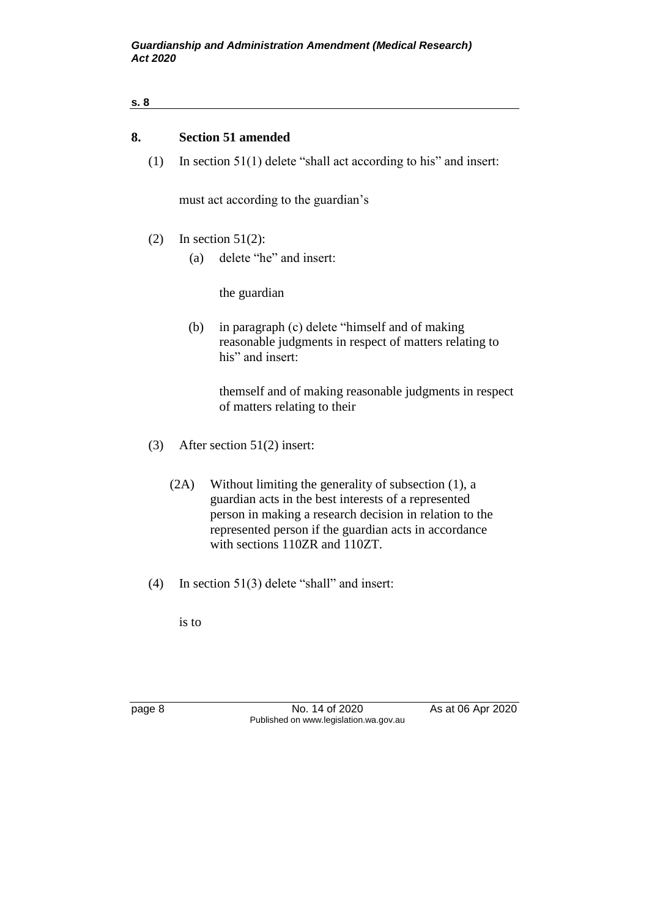# **8. Section 51 amended**

(1) In section 51(1) delete "shall act according to his" and insert:

must act according to the guardian's

- (2) In section  $51(2)$ :
	- (a) delete "he" and insert:

the guardian

(b) in paragraph (c) delete "himself and of making reasonable judgments in respect of matters relating to his" and insert:

themself and of making reasonable judgments in respect of matters relating to their

- (3) After section 51(2) insert:
	- (2A) Without limiting the generality of subsection (1), a guardian acts in the best interests of a represented person in making a research decision in relation to the represented person if the guardian acts in accordance with sections 110ZR and 110ZT.
- (4) In section 51(3) delete "shall" and insert:

is to

page 8 No. 14 of 2020 As at 06 Apr 2020 Published on www.legislation.wa.gov.au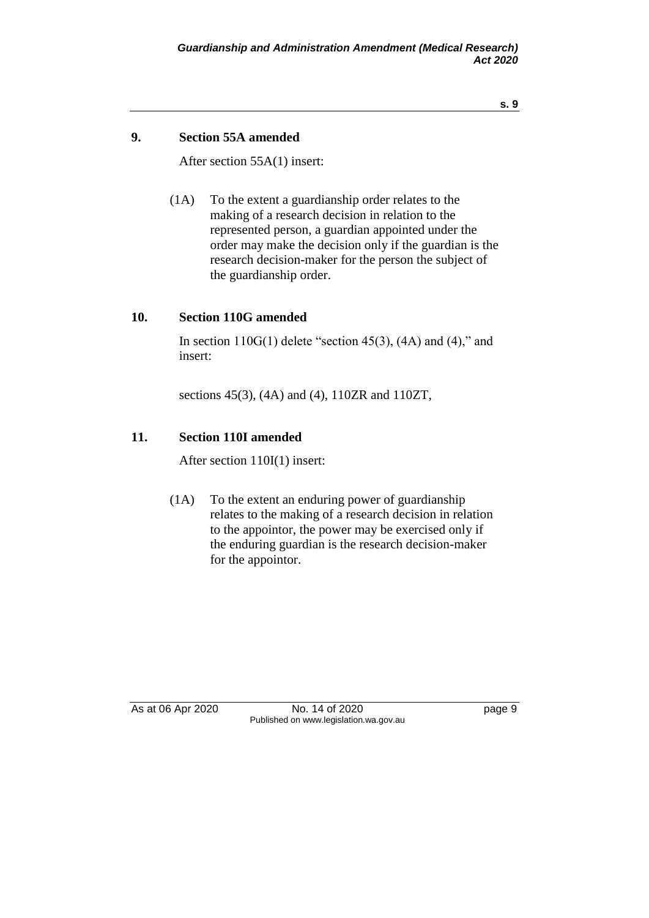### **9. Section 55A amended**

After section 55A(1) insert:

(1A) To the extent a guardianship order relates to the making of a research decision in relation to the represented person, a guardian appointed under the order may make the decision only if the guardian is the research decision-maker for the person the subject of the guardianship order.

#### **10. Section 110G amended**

In section  $110G(1)$  delete "section 45(3), (4A) and (4)," and insert:

sections 45(3), (4A) and (4), 110ZR and 110ZT,

#### **11. Section 110I amended**

After section 110I(1) insert:

(1A) To the extent an enduring power of guardianship relates to the making of a research decision in relation to the appointor, the power may be exercised only if the enduring guardian is the research decision-maker for the appointor.

As at 06 Apr 2020 No. 14 of 2020 Page 9 Published on www.legislation.wa.gov.au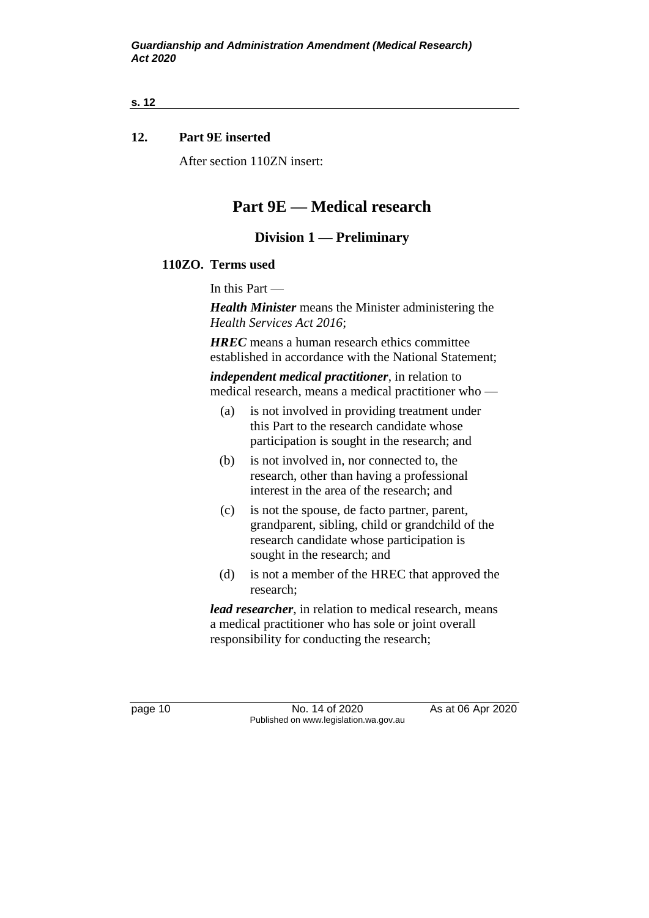## **12. Part 9E inserted**

After section 110ZN insert:

# **Part 9E — Medical research**

# **Division 1 — Preliminary**

#### **110ZO. Terms used**

In this Part —

*Health Minister* means the Minister administering the *Health Services Act 2016*;

*HREC* means a human research ethics committee established in accordance with the National Statement;

*independent medical practitioner*, in relation to medical research, means a medical practitioner who —

- (a) is not involved in providing treatment under this Part to the research candidate whose participation is sought in the research; and
- (b) is not involved in, nor connected to, the research, other than having a professional interest in the area of the research; and
- (c) is not the spouse, de facto partner, parent, grandparent, sibling, child or grandchild of the research candidate whose participation is sought in the research; and
- (d) is not a member of the HREC that approved the research;

*lead researcher*, in relation to medical research, means a medical practitioner who has sole or joint overall responsibility for conducting the research;

page 10 No. 14 of 2020 As at 06 Apr 2020 Published on www.legislation.wa.gov.au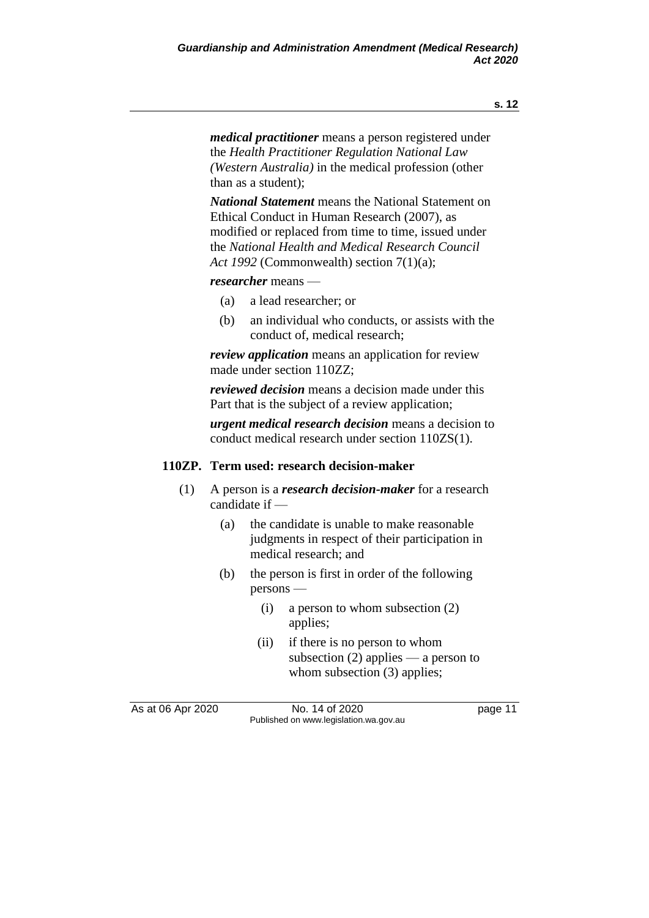*medical practitioner* means a person registered under the *Health Practitioner Regulation National Law (Western Australia)* in the medical profession (other than as a student);

*National Statement* means the National Statement on Ethical Conduct in Human Research (2007), as modified or replaced from time to time, issued under the *National Health and Medical Research Council Act 1992* (Commonwealth) section 7(1)(a);

*researcher* means —

- (a) a lead researcher; or
- (b) an individual who conducts, or assists with the conduct of, medical research;

*review application* means an application for review made under section 110ZZ;

*reviewed decision* means a decision made under this Part that is the subject of a review application;

*urgent medical research decision* means a decision to conduct medical research under section 110ZS(1).

### **110ZP. Term used: research decision-maker**

- (1) A person is a *research decision-maker* for a research candidate if —
	- (a) the candidate is unable to make reasonable judgments in respect of their participation in medical research; and
	- (b) the person is first in order of the following persons —
		- (i) a person to whom subsection (2) applies;
		- (ii) if there is no person to whom subsection  $(2)$  applies — a person to whom subsection (3) applies;

As at 06 Apr 2020 **No. 14 of 2020 page 11** Published on www.legislation.wa.gov.au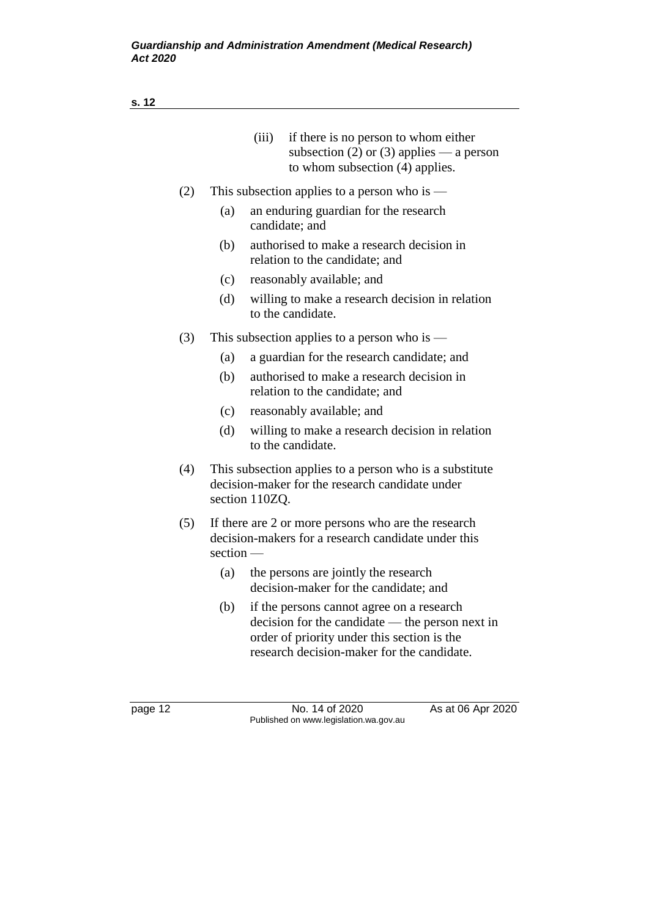|     | (iii)<br>if there is no person to whom either<br>subsection (2) or (3) applies — a person<br>to whom subsection $(4)$ applies.                                                                     |
|-----|----------------------------------------------------------------------------------------------------------------------------------------------------------------------------------------------------|
| (2) | This subsection applies to a person who is $-$                                                                                                                                                     |
|     | (a)<br>an enduring guardian for the research<br>candidate; and                                                                                                                                     |
|     | authorised to make a research decision in<br>(b)<br>relation to the candidate; and                                                                                                                 |
|     | (c)<br>reasonably available; and                                                                                                                                                                   |
|     | (d)<br>willing to make a research decision in relation<br>to the candidate.                                                                                                                        |
| (3) | This subsection applies to a person who is —                                                                                                                                                       |
|     | a guardian for the research candidate; and<br>(a)                                                                                                                                                  |
|     | (b)<br>authorised to make a research decision in<br>relation to the candidate; and                                                                                                                 |
|     | (c)<br>reasonably available; and                                                                                                                                                                   |
|     | (d)<br>willing to make a research decision in relation<br>to the candidate.                                                                                                                        |
| (4) | This subsection applies to a person who is a substitute<br>decision-maker for the research candidate under<br>section 110ZQ.                                                                       |
| (5) | If there are 2 or more persons who are the research<br>decision-makers for a research candidate under this<br>$section$ —                                                                          |
|     | the persons are jointly the research<br>(a)<br>decision-maker for the candidate; and                                                                                                               |
|     | if the persons cannot agree on a research<br>(b)<br>$decision$ for the candidate — the person next in<br>order of priority under this section is the<br>research decision-maker for the candidate. |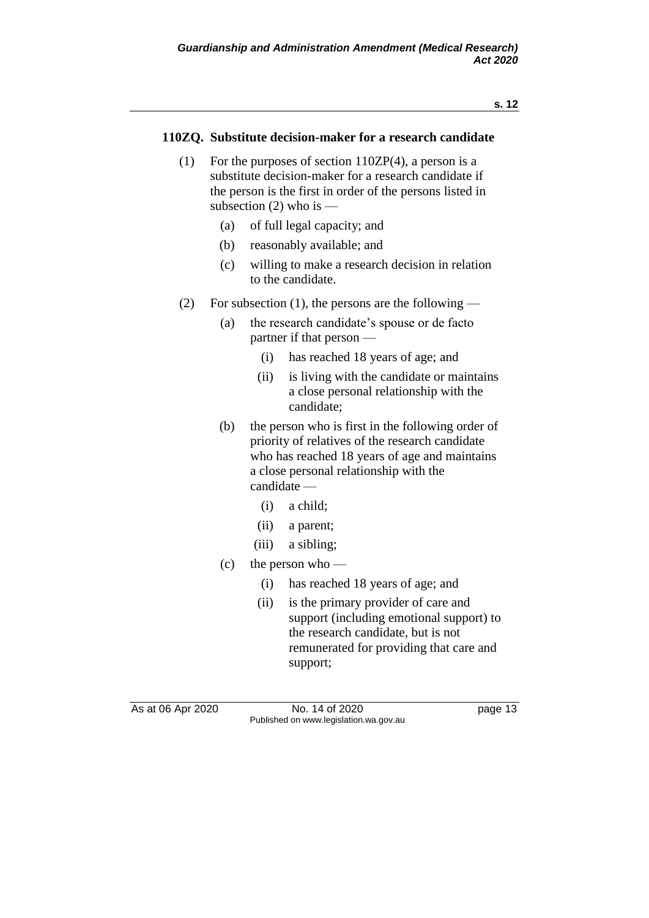#### **110ZQ. Substitute decision-maker for a research candidate**

- (1) For the purposes of section 110ZP(4), a person is a substitute decision-maker for a research candidate if the person is the first in order of the persons listed in subsection  $(2)$  who is —
	- (a) of full legal capacity; and
	- (b) reasonably available; and
	- (c) willing to make a research decision in relation to the candidate.
- (2) For subsection (1), the persons are the following
	- (a) the research candidate's spouse or de facto partner if that person —
		- (i) has reached 18 years of age; and
		- (ii) is living with the candidate or maintains a close personal relationship with the candidate;
	- (b) the person who is first in the following order of priority of relatives of the research candidate who has reached 18 years of age and maintains a close personal relationship with the candidate —
		- (i) a child;
		- (ii) a parent;
		- (iii) a sibling;
	- (c) the person who
		- (i) has reached 18 years of age; and
		- (ii) is the primary provider of care and support (including emotional support) to the research candidate, but is not remunerated for providing that care and support;

As at 06 Apr 2020 **No. 14 of 2020 page 13** Published on www.legislation.wa.gov.au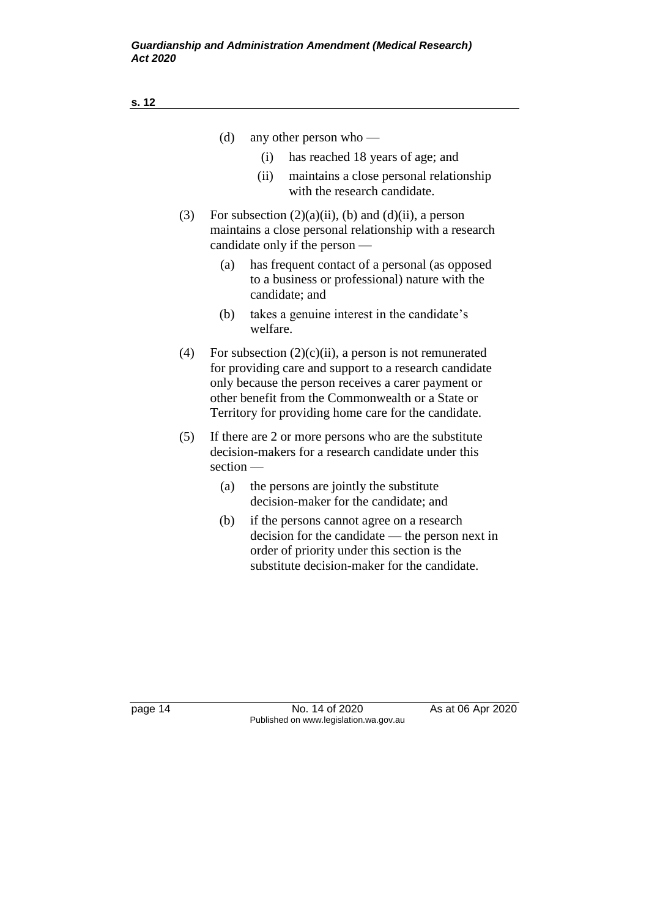|     | (d)                            | any other person who $-$                                                                                                                                                       |
|-----|--------------------------------|--------------------------------------------------------------------------------------------------------------------------------------------------------------------------------|
|     | $\left( 1 \right)$             | has reached 18 years of age; and                                                                                                                                               |
|     | (ii)                           | maintains a close personal relationship<br>with the research candidate.                                                                                                        |
| (3) | candidate only if the person — | For subsection $(2)(a)(ii)$ , (b) and $(d)(ii)$ , a person<br>maintains a close personal relationship with a research                                                          |
|     | (a)<br>candidate; and          | has frequent contact of a personal (as opposed<br>to a business or professional) nature with the                                                                               |
|     | (b)<br>welfare.                | takes a genuine interest in the candidate's                                                                                                                                    |
| (4) |                                | For subsection $(2)(c)(ii)$ , a person is not remunerated<br>for providing care and support to a research candidate<br>an berbaannaa dha mamaan maaaleesa a aanan maxuu suu an |

- only because the person receives a carer payment or other benefit from the Commonwealth or a State or Territory for providing home care for the candidate.
- (5) If there are 2 or more persons who are the substitute decision-makers for a research candidate under this section —
	- (a) the persons are jointly the substitute decision-maker for the candidate; and
	- (b) if the persons cannot agree on a research decision for the candidate — the person next in order of priority under this section is the substitute decision-maker for the candidate.

page 14 **No. 14 of 2020** As at 06 Apr 2020 Published on www.legislation.wa.gov.au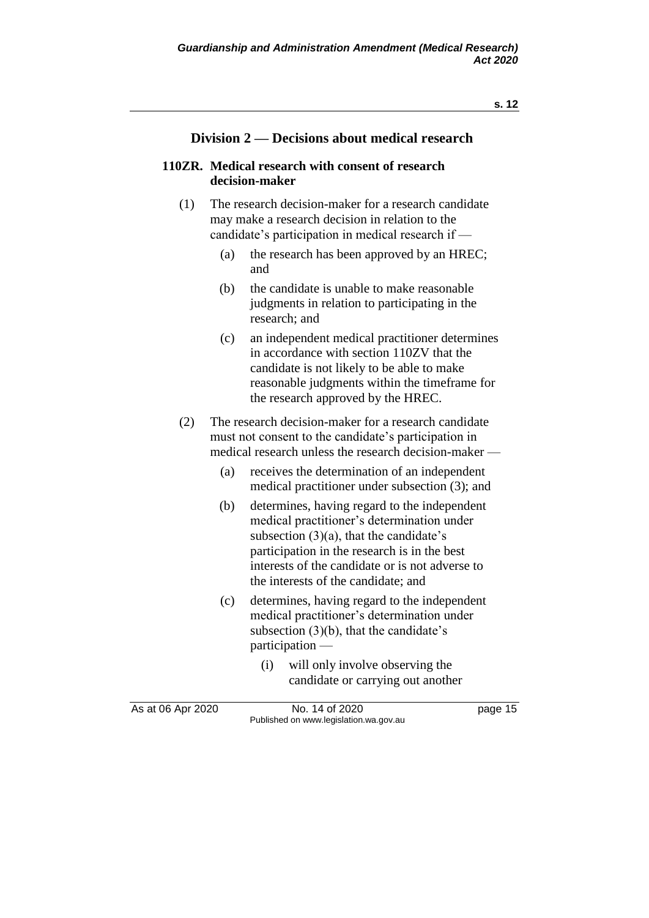### **Division 2 — Decisions about medical research**

#### **110ZR. Medical research with consent of research decision-maker**

- (1) The research decision-maker for a research candidate may make a research decision in relation to the candidate's participation in medical research if —
	- (a) the research has been approved by an HREC; and
	- (b) the candidate is unable to make reasonable judgments in relation to participating in the research; and
	- (c) an independent medical practitioner determines in accordance with section 110ZV that the candidate is not likely to be able to make reasonable judgments within the timeframe for the research approved by the HREC.
- (2) The research decision-maker for a research candidate must not consent to the candidate's participation in medical research unless the research decision-maker —
	- (a) receives the determination of an independent medical practitioner under subsection (3); and
	- (b) determines, having regard to the independent medical practitioner's determination under subsection  $(3)(a)$ , that the candidate's participation in the research is in the best interests of the candidate or is not adverse to the interests of the candidate; and
	- (c) determines, having regard to the independent medical practitioner's determination under subsection (3)(b), that the candidate's participation —
		- (i) will only involve observing the candidate or carrying out another

As at 06 Apr 2020 **No. 14 of 2020 page 15** Published on www.legislation.wa.gov.au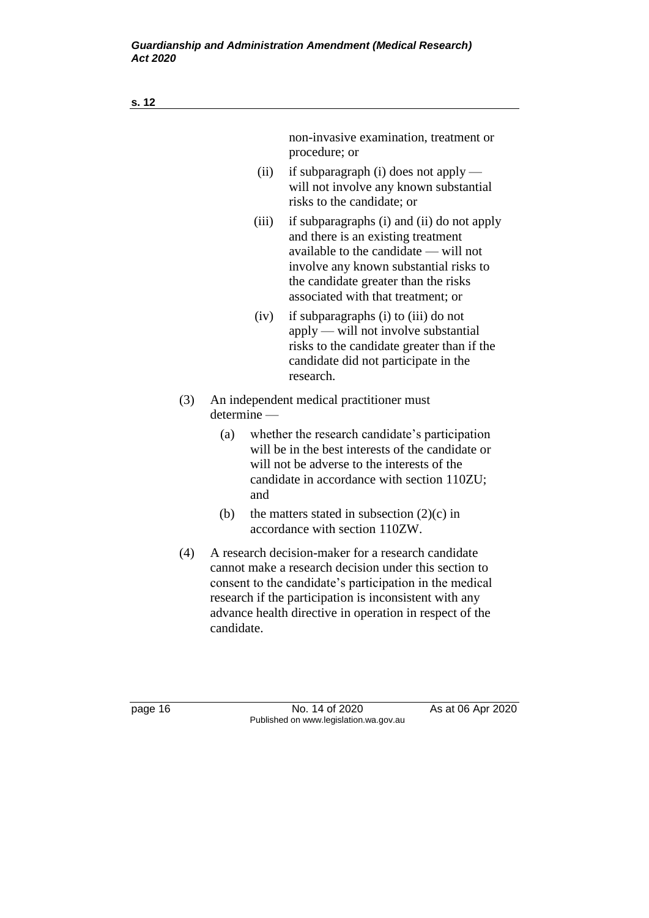| s. 12 |     |               |                                                                                                                                                                                                                                                                                             |
|-------|-----|---------------|---------------------------------------------------------------------------------------------------------------------------------------------------------------------------------------------------------------------------------------------------------------------------------------------|
|       |     |               | non-invasive examination, treatment or<br>procedure; or                                                                                                                                                                                                                                     |
|       |     | (ii)          | if subparagraph $(i)$ does not apply —<br>will not involve any known substantial<br>risks to the candidate; or                                                                                                                                                                              |
|       |     | (iii)         | if subparagraphs (i) and (ii) do not apply<br>and there is an existing treatment<br>available to the candidate — will not<br>involve any known substantial risks to<br>the candidate greater than the risks<br>associated with that treatment; or                                           |
|       |     | (iv)          | if subparagraphs (i) to (iii) do not<br>$apply$ — will not involve substantial<br>risks to the candidate greater than if the<br>candidate did not participate in the<br>research.                                                                                                           |
| (3)   |     | $determine$ — | An independent medical practitioner must                                                                                                                                                                                                                                                    |
|       | (a) | and           | whether the research candidate's participation<br>will be in the best interests of the candidate or<br>will not be adverse to the interests of the<br>candidate in accordance with section 110ZU;                                                                                           |
|       | (b) |               | the matters stated in subsection $(2)(c)$ in<br>accordance with section 110ZW.                                                                                                                                                                                                              |
| (4)   |     |               | A research decision-maker for a research candidate<br>cannot make a research decision under this section to<br>consent to the candidate's participation in the medical<br>research if the participation is inconsistent with any<br>advance health directive in operation in respect of the |

candidate.

page 16 No. 14 of 2020 As at 06 Apr 2020 Published on www.legislation.wa.gov.au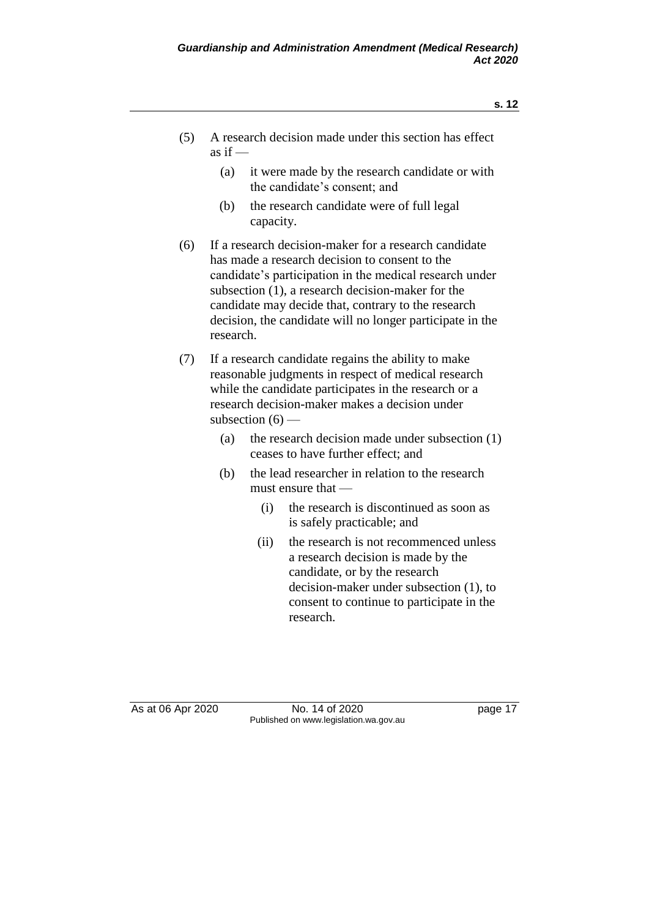- (5) A research decision made under this section has effect as if  $-$ 
	- (a) it were made by the research candidate or with the candidate's consent; and
	- (b) the research candidate were of full legal capacity.
- (6) If a research decision-maker for a research candidate has made a research decision to consent to the candidate's participation in the medical research under subsection (1), a research decision-maker for the candidate may decide that, contrary to the research decision, the candidate will no longer participate in the research.
- (7) If a research candidate regains the ability to make reasonable judgments in respect of medical research while the candidate participates in the research or a research decision-maker makes a decision under subsection  $(6)$  —
	- (a) the research decision made under subsection (1) ceases to have further effect; and
	- (b) the lead researcher in relation to the research must ensure that —
		- (i) the research is discontinued as soon as is safely practicable; and
		- (ii) the research is not recommenced unless a research decision is made by the candidate, or by the research decision-maker under subsection (1), to consent to continue to participate in the research.

As at 06 Apr 2020 No. 14 of 2020 have bage 17 Published on www.legislation.wa.gov.au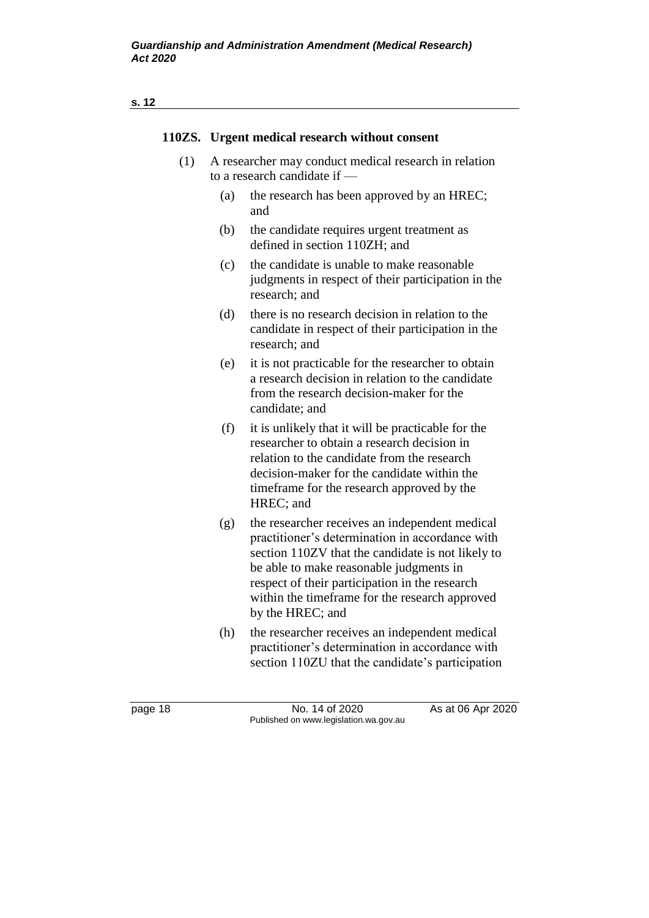|         |     | 110ZS. Urgent medical research without consent                                                                                                                                                                                                                                                                            |
|---------|-----|---------------------------------------------------------------------------------------------------------------------------------------------------------------------------------------------------------------------------------------------------------------------------------------------------------------------------|
| (1)     |     | A researcher may conduct medical research in relation<br>to a research candidate if —                                                                                                                                                                                                                                     |
|         | (a) | the research has been approved by an HREC;<br>and                                                                                                                                                                                                                                                                         |
|         | (b) | the candidate requires urgent treatment as<br>defined in section 110ZH; and                                                                                                                                                                                                                                               |
|         | (c) | the candidate is unable to make reasonable<br>judgments in respect of their participation in the<br>research; and                                                                                                                                                                                                         |
|         | (d) | there is no research decision in relation to the<br>candidate in respect of their participation in the<br>research; and                                                                                                                                                                                                   |
|         | (e) | it is not practicable for the researcher to obtain<br>a research decision in relation to the candidate<br>from the research decision-maker for the<br>candidate; and                                                                                                                                                      |
|         | (f) | it is unlikely that it will be practicable for the<br>researcher to obtain a research decision in<br>relation to the candidate from the research<br>decision-maker for the candidate within the<br>time frame for the research approved by the<br>HREC; and                                                               |
|         | (g) | the researcher receives an independent medical<br>practitioner's determination in accordance with<br>section 110ZV that the candidate is not likely to<br>be able to make reasonable judgments in<br>respect of their participation in the research<br>within the timeframe for the research approved<br>by the HREC; and |
|         | (h) | the researcher receives an independent medical<br>practitioner's determination in accordance with<br>section 110ZU that the candidate's participation                                                                                                                                                                     |
| page 18 |     | No. 14 of 2020<br>As at 06 Apr 2020<br>Published on www.legislation.wa.gov.au                                                                                                                                                                                                                                             |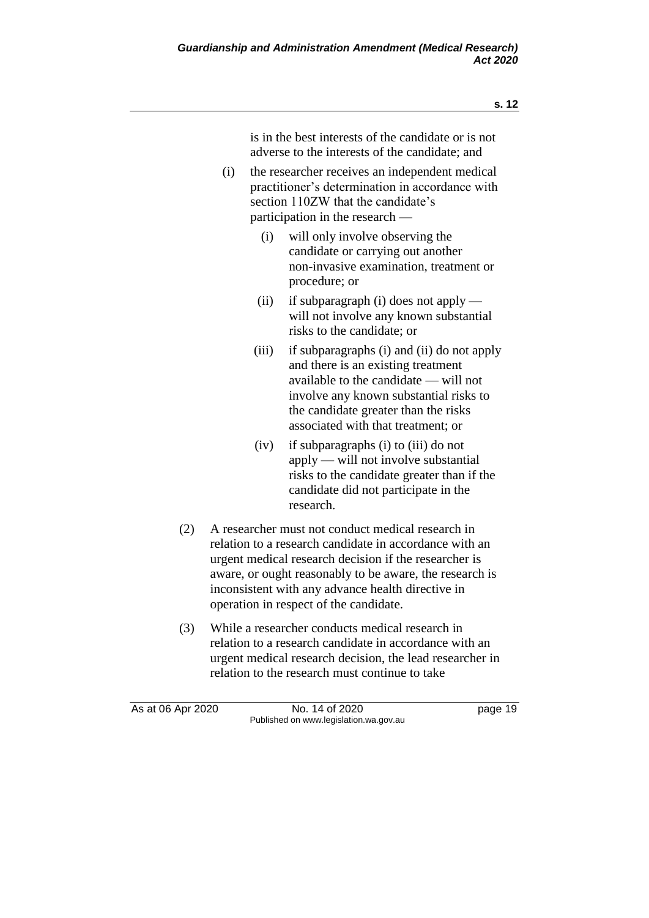is in the best interests of the candidate or is not adverse to the interests of the candidate; and

- (i) the researcher receives an independent medical practitioner's determination in accordance with section 110ZW that the candidate's participation in the research —
	- (i) will only involve observing the candidate or carrying out another non-invasive examination, treatment or procedure; or
	- (ii) if subparagraph (i) does not apply will not involve any known substantial risks to the candidate; or
	- (iii) if subparagraphs (i) and (ii) do not apply and there is an existing treatment available to the candidate — will not involve any known substantial risks to the candidate greater than the risks associated with that treatment; or
	- (iv) if subparagraphs (i) to (iii) do not apply — will not involve substantial risks to the candidate greater than if the candidate did not participate in the research.
- (2) A researcher must not conduct medical research in relation to a research candidate in accordance with an urgent medical research decision if the researcher is aware, or ought reasonably to be aware, the research is inconsistent with any advance health directive in operation in respect of the candidate.
- (3) While a researcher conducts medical research in relation to a research candidate in accordance with an urgent medical research decision, the lead researcher in relation to the research must continue to take

As at 06 Apr 2020 **No. 14 of 2020 page 19** Published on www.legislation.wa.gov.au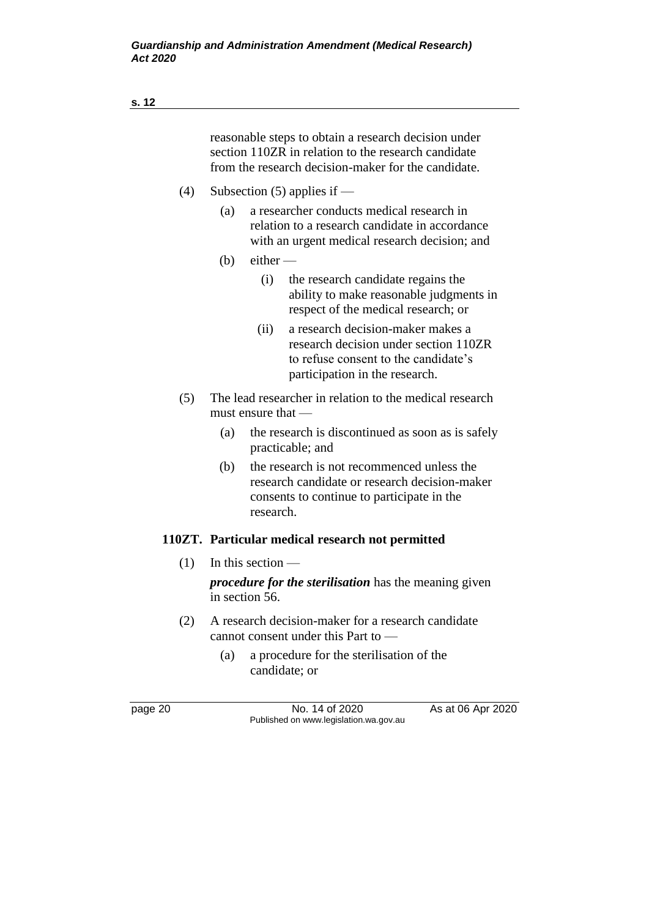- (4) Subsection (5) applies if
	- (a) a researcher conducts medical research in relation to a research candidate in accordance with an urgent medical research decision; and
	- $(b)$  either
		- (i) the research candidate regains the ability to make reasonable judgments in respect of the medical research; or
		- (ii) a research decision-maker makes a research decision under section 110ZR to refuse consent to the candidate's participation in the research.
- (5) The lead researcher in relation to the medical research must ensure that —
	- (a) the research is discontinued as soon as is safely practicable; and
	- (b) the research is not recommenced unless the research candidate or research decision-maker consents to continue to participate in the research.

### **110ZT. Particular medical research not permitted**

 $(1)$  In this section —

*procedure for the sterilisation* has the meaning given in section 56.

- (2) A research decision-maker for a research candidate cannot consent under this Part to —
	- (a) a procedure for the sterilisation of the candidate; or

page 20 No. 14 of 2020 As at 06 Apr 2020 Published on www.legislation.wa.gov.au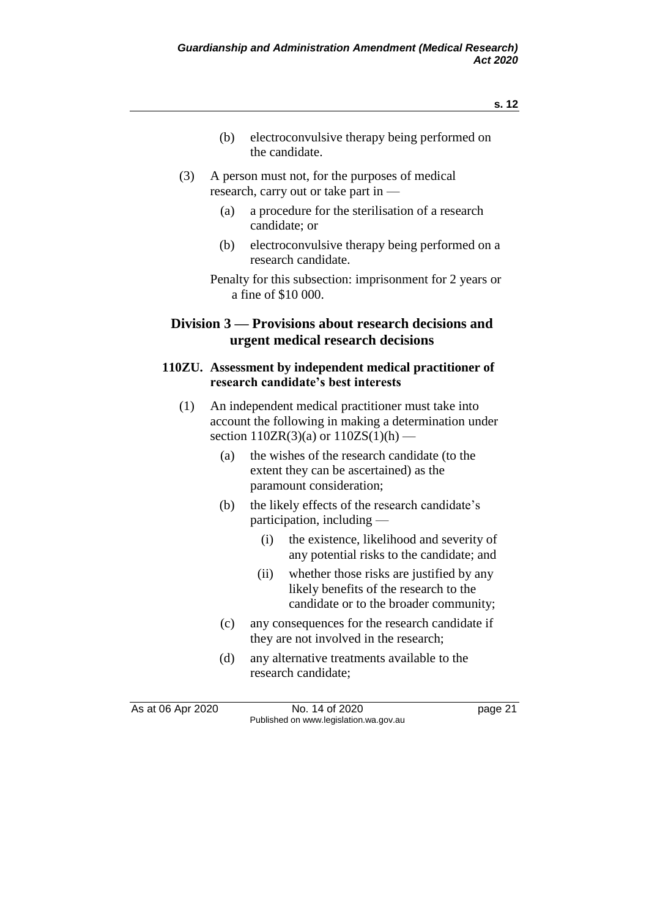- (b) electroconvulsive therapy being performed on the candidate.
- (3) A person must not, for the purposes of medical research, carry out or take part in —
	- (a) a procedure for the sterilisation of a research candidate; or
	- (b) electroconvulsive therapy being performed on a research candidate.

## **Division 3 — Provisions about research decisions and urgent medical research decisions**

#### **110ZU. Assessment by independent medical practitioner of research candidate's best interests**

- (1) An independent medical practitioner must take into account the following in making a determination under section  $110ZR(3)(a)$  or  $110ZS(1)(h)$  —
	- (a) the wishes of the research candidate (to the extent they can be ascertained) as the paramount consideration;
	- (b) the likely effects of the research candidate's participation, including —
		- (i) the existence, likelihood and severity of any potential risks to the candidate; and
		- (ii) whether those risks are justified by any likely benefits of the research to the candidate or to the broader community;
	- (c) any consequences for the research candidate if they are not involved in the research;
	- (d) any alternative treatments available to the research candidate;

As at 06 Apr 2020 No. 14 of 2020 page 21 Published on www.legislation.wa.gov.au

Penalty for this subsection: imprisonment for 2 years or a fine of \$10 000.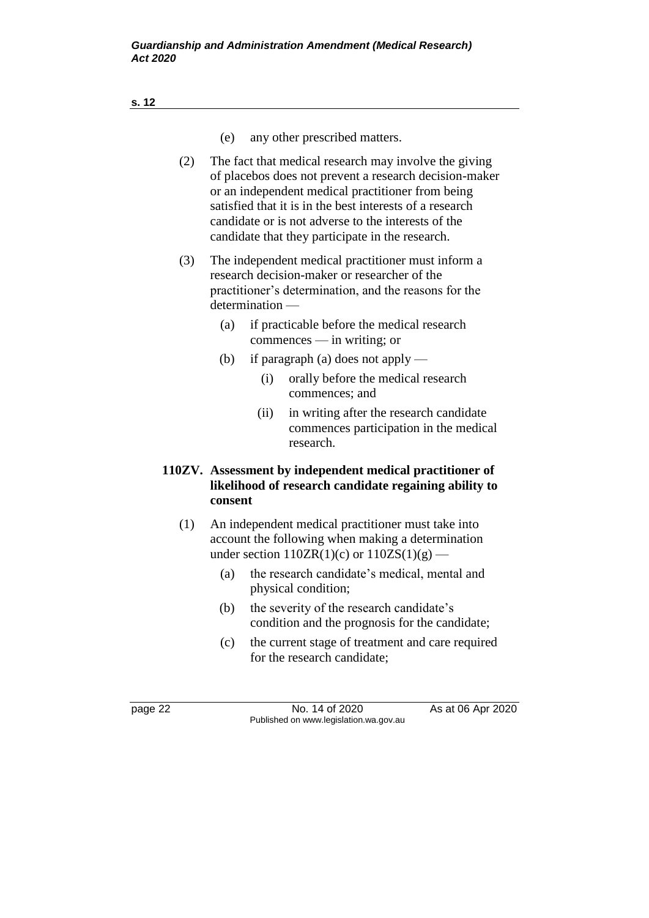- (e) any other prescribed matters.
- (2) The fact that medical research may involve the giving of placebos does not prevent a research decision-maker or an independent medical practitioner from being satisfied that it is in the best interests of a research candidate or is not adverse to the interests of the candidate that they participate in the research.
- (3) The independent medical practitioner must inform a research decision-maker or researcher of the practitioner's determination, and the reasons for the determination —
	- (a) if practicable before the medical research commences — in writing; or
	- (b) if paragraph (a) does not apply
		- (i) orally before the medical research commences; and
		- (ii) in writing after the research candidate commences participation in the medical research.

#### **110ZV. Assessment by independent medical practitioner of likelihood of research candidate regaining ability to consent**

- (1) An independent medical practitioner must take into account the following when making a determination under section  $110ZR(1)(c)$  or  $110ZS(1)(g)$  —
	- (a) the research candidate's medical, mental and physical condition;
	- (b) the severity of the research candidate's condition and the prognosis for the candidate;
	- (c) the current stage of treatment and care required for the research candidate;

page 22 No. 14 of 2020 As at 06 Apr 2020 Published on www.legislation.wa.gov.au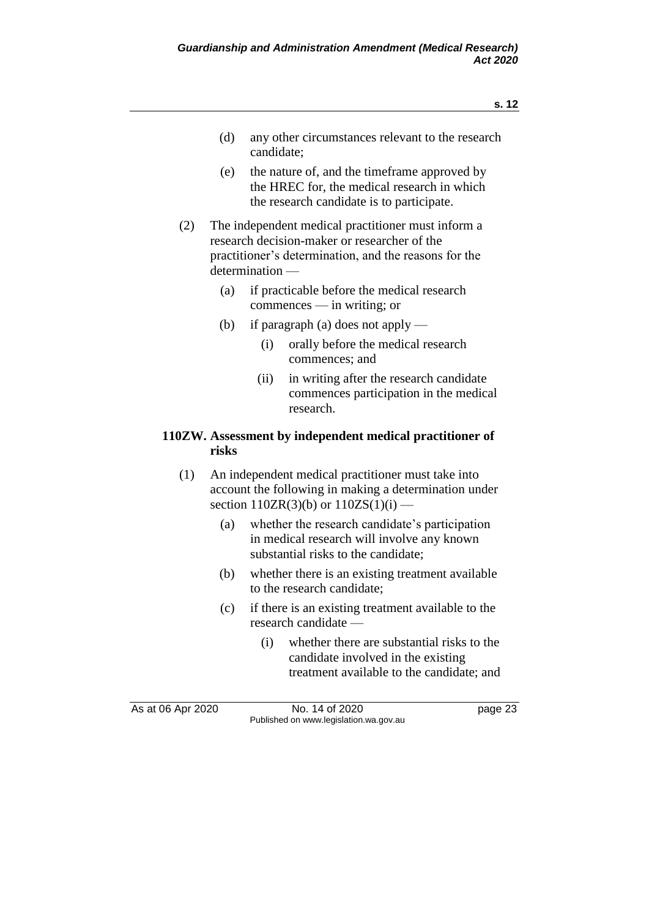- (d) any other circumstances relevant to the research candidate;
- (e) the nature of, and the timeframe approved by the HREC for, the medical research in which the research candidate is to participate.
- (2) The independent medical practitioner must inform a research decision-maker or researcher of the practitioner's determination, and the reasons for the determination —
	- (a) if practicable before the medical research commences — in writing; or
	- (b) if paragraph (a) does not apply
		- (i) orally before the medical research commences; and
		- (ii) in writing after the research candidate commences participation in the medical research.

#### **110ZW. Assessment by independent medical practitioner of risks**

- (1) An independent medical practitioner must take into account the following in making a determination under section  $110ZR(3)(b)$  or  $110ZS(1)(i)$  —
	- (a) whether the research candidate's participation in medical research will involve any known substantial risks to the candidate;
	- (b) whether there is an existing treatment available to the research candidate;
	- (c) if there is an existing treatment available to the research candidate —
		- (i) whether there are substantial risks to the candidate involved in the existing treatment available to the candidate; and

As at 06 Apr 2020 **No. 14 of 2020 page 23** Published on www.legislation.wa.gov.au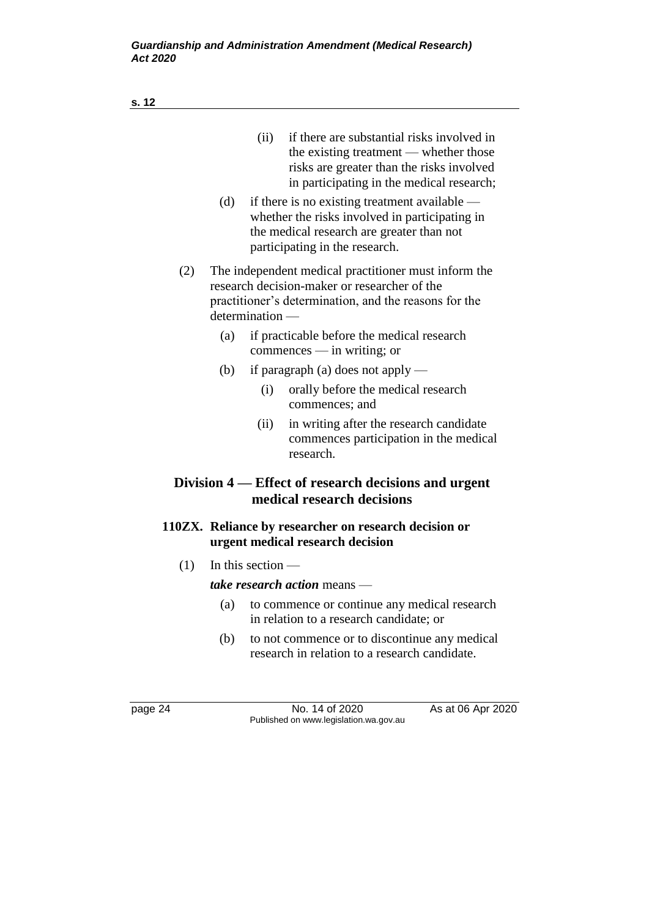| if there are substantial risks involved in<br>(ii)<br>the existing treatment — whether those<br>risks are greater than the risks involved<br>in participating in the medical research; |
|----------------------------------------------------------------------------------------------------------------------------------------------------------------------------------------|
| if there is no existing treatment available —<br>whether the risks involved in participating in<br>the medical research are greater than not<br>participating in the research.         |
| The independent medical practitioner must inform the<br>research decision-maker or researcher of the<br>practitioner's determination, and the reasons for the<br>determination -       |
| if practicable before the medical research<br>$commences$ — in writing; or                                                                                                             |
| if paragraph (a) does not apply $-$                                                                                                                                                    |
| orally before the medical research<br>(i)<br>commences; and                                                                                                                            |
| in writing after the research candidate<br>(ii)<br>commences participation in the medical<br>research.                                                                                 |
| Division 4 — Effect of research decisions and urgent<br>medical research decisions                                                                                                     |
| 110ZX. Reliance by researcher on research decision or<br>urgent medical research decision                                                                                              |
|                                                                                                                                                                                        |

 $(1)$  In this section —

*take research action* means —

- (a) to commence or continue any medical research in relation to a research candidate; or
- (b) to not commence or to discontinue any medical research in relation to a research candidate.

page 24 **No. 14 of 2020** As at 06 Apr 2020 Published on www.legislation.wa.gov.au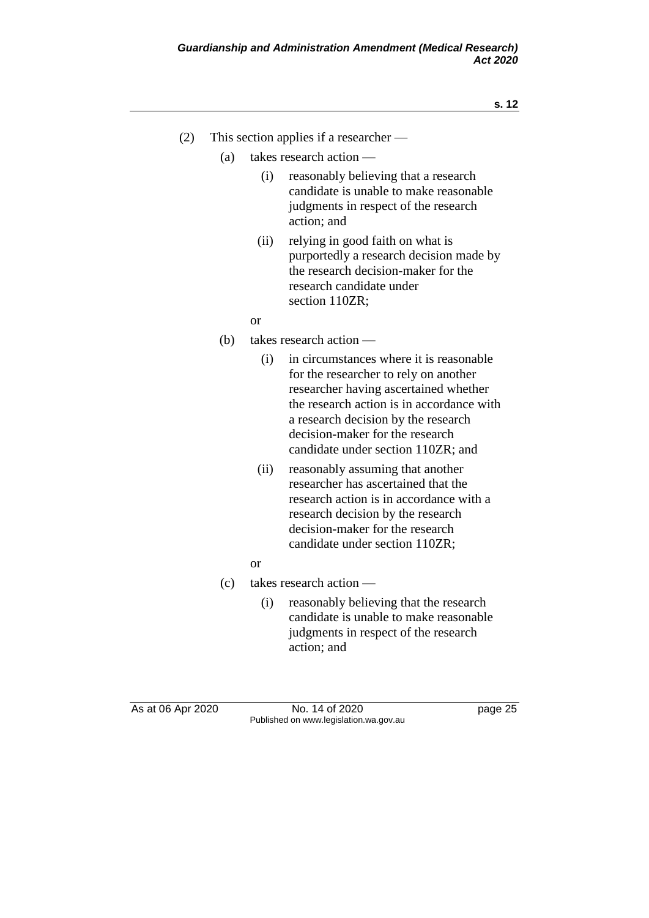- (2) This section applies if a researcher
	- (a) takes research action
		- (i) reasonably believing that a research candidate is unable to make reasonable judgments in respect of the research action; and
		- (ii) relying in good faith on what is purportedly a research decision made by the research decision-maker for the research candidate under section 110ZR:

or

- (b) takes research action
	- (i) in circumstances where it is reasonable for the researcher to rely on another researcher having ascertained whether the research action is in accordance with a research decision by the research decision-maker for the research candidate under section 110ZR; and
	- (ii) reasonably assuming that another researcher has ascertained that the research action is in accordance with a research decision by the research decision-maker for the research candidate under section 110ZR;
	- or
- (c) takes research action
	- (i) reasonably believing that the research candidate is unable to make reasonable judgments in respect of the research action; and

As at 06 Apr 2020 **No. 14 of 2020 page 25** Published on www.legislation.wa.gov.au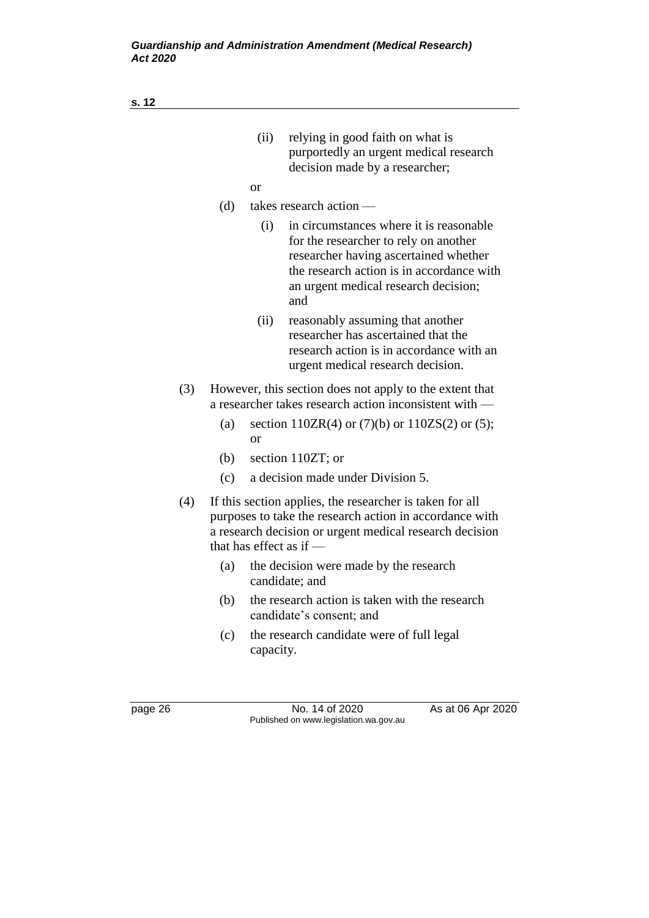|     |                                                                                                                   | (ii)          | relying in good faith on what is<br>purportedly an urgent medical research<br>decision made by a researcher;                                                                                                           |  |
|-----|-------------------------------------------------------------------------------------------------------------------|---------------|------------------------------------------------------------------------------------------------------------------------------------------------------------------------------------------------------------------------|--|
|     |                                                                                                                   | <sub>or</sub> |                                                                                                                                                                                                                        |  |
|     | (d)                                                                                                               |               | takes research action -                                                                                                                                                                                                |  |
|     |                                                                                                                   | (i)           | in circumstances where it is reasonable.<br>for the researcher to rely on another<br>researcher having ascertained whether<br>the research action is in accordance with<br>an urgent medical research decision;<br>and |  |
|     |                                                                                                                   | (ii)          | reasonably assuming that another<br>researcher has ascertained that the<br>research action is in accordance with an<br>urgent medical research decision.                                                               |  |
| (3) | However, this section does not apply to the extent that<br>a researcher takes research action inconsistent with — |               |                                                                                                                                                                                                                        |  |
|     | (a)                                                                                                               | or            | section $110ZR(4)$ or $(7)(b)$ or $110ZS(2)$ or $(5)$ ;                                                                                                                                                                |  |
|     | (b)                                                                                                               |               | section 110ZT; or                                                                                                                                                                                                      |  |
|     | (c)                                                                                                               |               | a decision made under Division 5.                                                                                                                                                                                      |  |
| (4) |                                                                                                                   |               | If this section applies, the researcher is taken for all<br>purposes to take the research action in accordance with<br>a research decision or urgent medical research decision<br>that has effect as if $-$            |  |
|     | (a)                                                                                                               |               | the decision were made by the research<br>candidate; and                                                                                                                                                               |  |
|     | (b)                                                                                                               |               | the research action is taken with the research<br>candidate's consent; and                                                                                                                                             |  |
|     | (c)                                                                                                               |               | the research candidate were of full legal                                                                                                                                                                              |  |

page 26 No. 14 of 2020 As at 06 Apr 2020 Published on www.legislation.wa.gov.au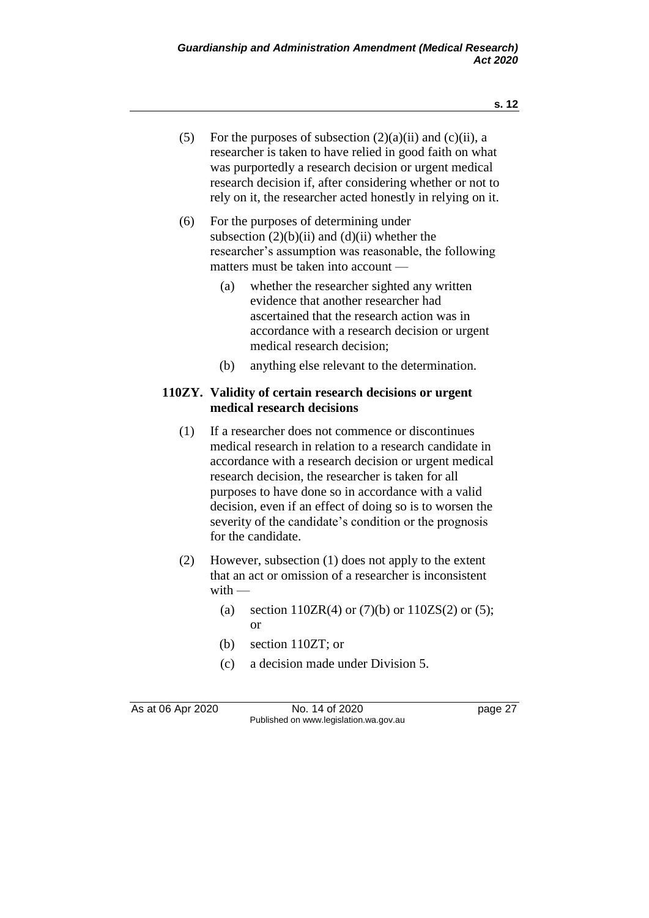- (5) For the purposes of subsection  $(2)(a)(ii)$  and  $(c)(ii)$ , a researcher is taken to have relied in good faith on what was purportedly a research decision or urgent medical research decision if, after considering whether or not to rely on it, the researcher acted honestly in relying on it.
- (6) For the purposes of determining under subsection  $(2)(b)(ii)$  and  $(d)(ii)$  whether the researcher's assumption was reasonable, the following matters must be taken into account —
	- (a) whether the researcher sighted any written evidence that another researcher had ascertained that the research action was in accordance with a research decision or urgent medical research decision;
	- (b) anything else relevant to the determination.

## **110ZY. Validity of certain research decisions or urgent medical research decisions**

- (1) If a researcher does not commence or discontinues medical research in relation to a research candidate in accordance with a research decision or urgent medical research decision, the researcher is taken for all purposes to have done so in accordance with a valid decision, even if an effect of doing so is to worsen the severity of the candidate's condition or the prognosis for the candidate.
- (2) However, subsection (1) does not apply to the extent that an act or omission of a researcher is inconsistent with —
	- (a) section  $110ZR(4)$  or  $(7)(b)$  or  $110ZS(2)$  or  $(5)$ ; or
	- (b) section 110ZT; or
	- (c) a decision made under Division 5.

As at 06 Apr 2020 **No. 14 of 2020 page 27** Published on www.legislation.wa.gov.au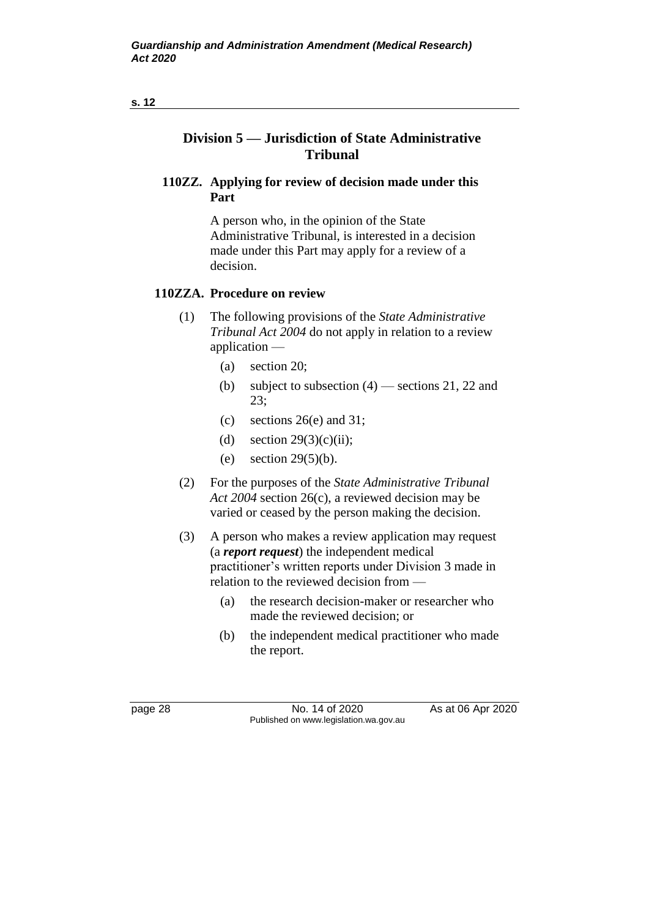# **110ZZ. Applying for review of decision made under this Part**

A person who, in the opinion of the State Administrative Tribunal, is interested in a decision made under this Part may apply for a review of a decision.

# **110ZZA. Procedure on review**

- (1) The following provisions of the *State Administrative Tribunal Act 2004* do not apply in relation to a review application —
	- (a) section 20;
	- (b) subject to subsection  $(4)$  sections 21, 22 and 23;
	- (c) sections 26(e) and 31;
	- (d) section  $29(3)(c)(ii)$ ;
	- (e) section  $29(5)(b)$ .
- (2) For the purposes of the *State Administrative Tribunal Act 2004* section 26(c), a reviewed decision may be varied or ceased by the person making the decision.
- (3) A person who makes a review application may request (a *report request*) the independent medical practitioner's written reports under Division 3 made in relation to the reviewed decision from —
	- (a) the research decision-maker or researcher who made the reviewed decision; or
	- (b) the independent medical practitioner who made the report.

page 28 No. 14 of 2020 As at 06 Apr 2020 Published on www.legislation.wa.gov.au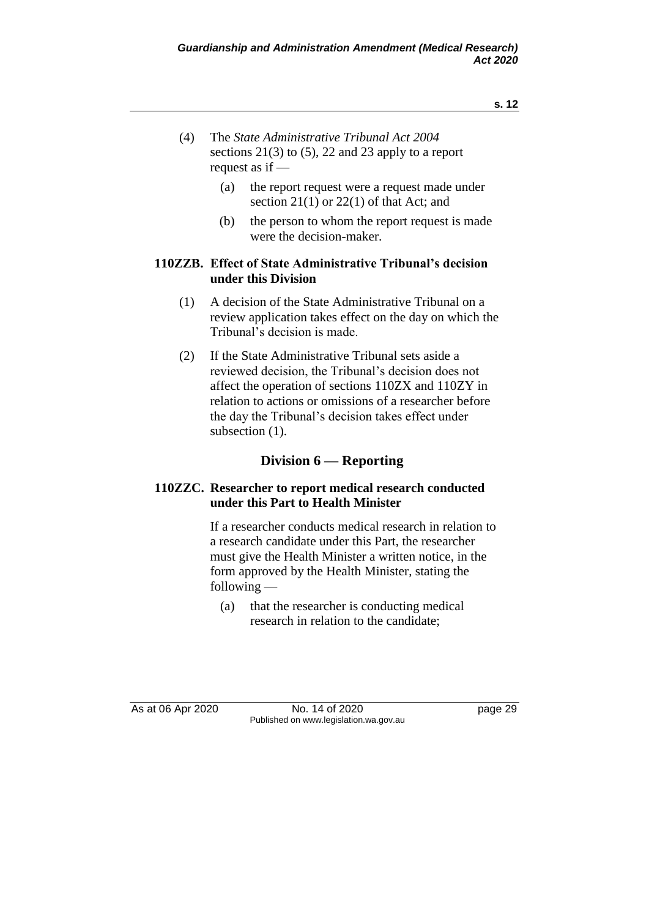- (4) The *State Administrative Tribunal Act 2004* sections 21(3) to (5), 22 and 23 apply to a report request as if —
	- (a) the report request were a request made under section  $21(1)$  or  $22(1)$  of that Act; and
	- (b) the person to whom the report request is made were the decision-maker.

### **110ZZB. Effect of State Administrative Tribunal's decision under this Division**

- (1) A decision of the State Administrative Tribunal on a review application takes effect on the day on which the Tribunal's decision is made.
- (2) If the State Administrative Tribunal sets aside a reviewed decision, the Tribunal's decision does not affect the operation of sections 110ZX and 110ZY in relation to actions or omissions of a researcher before the day the Tribunal's decision takes effect under subsection  $(1)$ .

# **Division 6 — Reporting**

# **110ZZC. Researcher to report medical research conducted under this Part to Health Minister**

If a researcher conducts medical research in relation to a research candidate under this Part, the researcher must give the Health Minister a written notice, in the form approved by the Health Minister, stating the following —

(a) that the researcher is conducting medical research in relation to the candidate;

As at 06 Apr 2020 **No. 14 of 2020 page 29** Published on www.legislation.wa.gov.au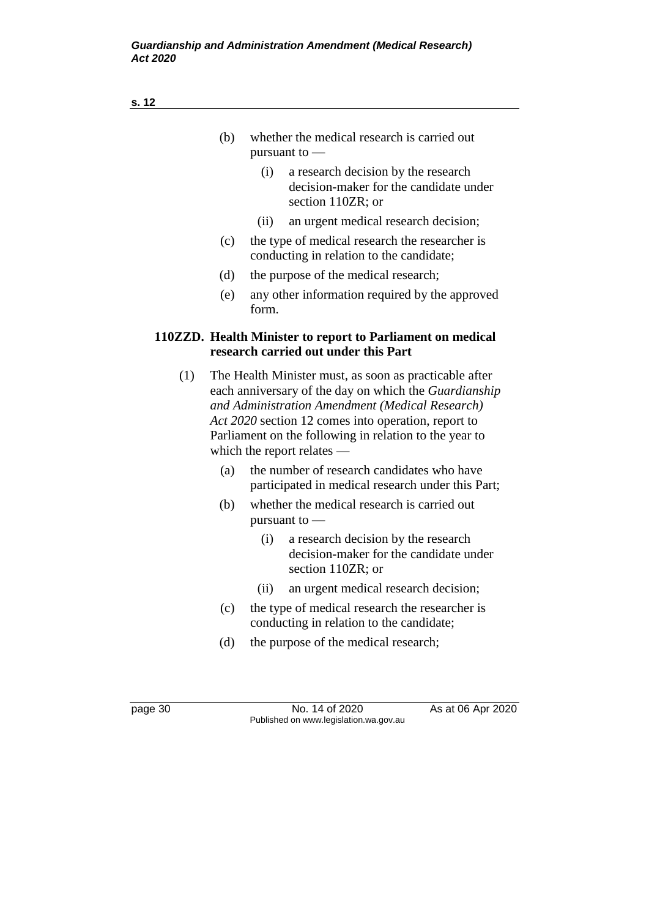|     | (b) |               | whether the medical research is carried out                                                                                                                                                                                                                                                                       |
|-----|-----|---------------|-------------------------------------------------------------------------------------------------------------------------------------------------------------------------------------------------------------------------------------------------------------------------------------------------------------------|
|     |     | pursuant to - |                                                                                                                                                                                                                                                                                                                   |
|     |     | (i)           | a research decision by the research<br>decision-maker for the candidate under<br>section 110ZR; or                                                                                                                                                                                                                |
|     |     | (ii)          | an urgent medical research decision;                                                                                                                                                                                                                                                                              |
|     | (c) |               | the type of medical research the researcher is<br>conducting in relation to the candidate;                                                                                                                                                                                                                        |
|     | (d) |               | the purpose of the medical research;                                                                                                                                                                                                                                                                              |
|     | (e) | form.         | any other information required by the approved                                                                                                                                                                                                                                                                    |
|     |     |               | 110ZZD. Health Minister to report to Parliament on medical<br>research carried out under this Part                                                                                                                                                                                                                |
| (1) |     |               | The Health Minister must, as soon as practicable after<br>each anniversary of the day on which the Guardianship<br>and Administration Amendment (Medical Research)<br>Act 2020 section 12 comes into operation, report to<br>Parliament on the following in relation to the year to<br>which the report relates — |
|     | (a) |               | the number of research candidates who have<br>participated in medical research under this Part;                                                                                                                                                                                                                   |
|     | (b) | pursuant to - | whether the medical research is carried out                                                                                                                                                                                                                                                                       |
|     |     | (i)           | a research decision by the research<br>decision-maker for the candidate under<br>section 110ZR; or                                                                                                                                                                                                                |

- (ii) an urgent medical research decision;
- (c) the type of medical research the researcher is conducting in relation to the candidate;
- (d) the purpose of the medical research;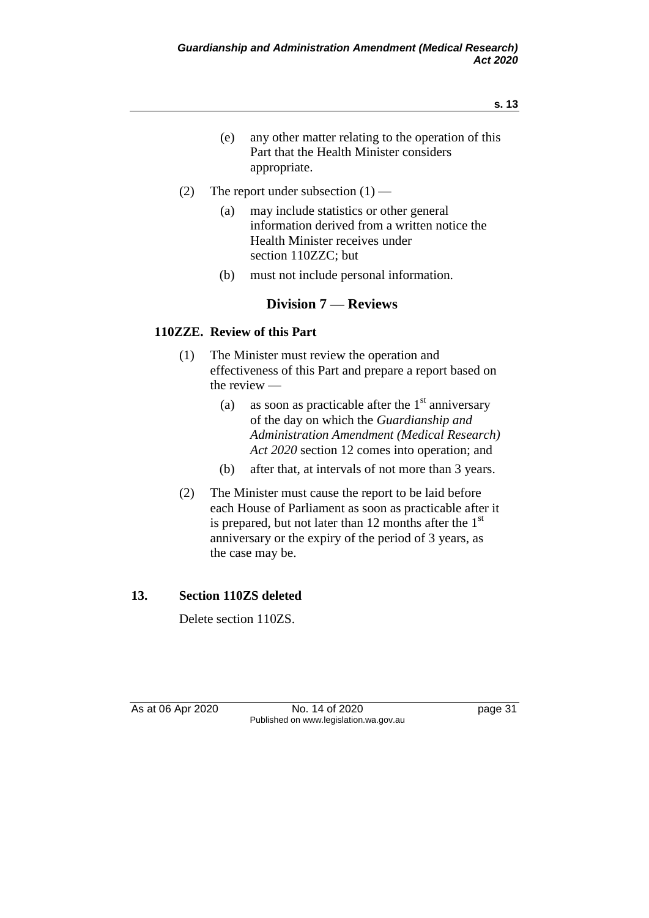- (e) any other matter relating to the operation of this Part that the Health Minister considers appropriate.
- (2) The report under subsection  $(1)$ 
	- (a) may include statistics or other general information derived from a written notice the Health Minister receives under section 110ZZC; but
	- (b) must not include personal information.

# **Division 7 — Reviews**

# **110ZZE. Review of this Part**

- (1) The Minister must review the operation and effectiveness of this Part and prepare a report based on the review —
	- (a) as soon as practicable after the  $1<sup>st</sup>$  anniversary of the day on which the *Guardianship and Administration Amendment (Medical Research) Act 2020* section 12 comes into operation; and
	- (b) after that, at intervals of not more than 3 years.
- (2) The Minister must cause the report to be laid before each House of Parliament as soon as practicable after it is prepared, but not later than 12 months after the  $1<sup>st</sup>$ anniversary or the expiry of the period of 3 years, as the case may be.

# **13. Section 110ZS deleted**

Delete section 110ZS.

As at 06 Apr 2020 **No. 14 of 2020 page 31** Published on www.legislation.wa.gov.au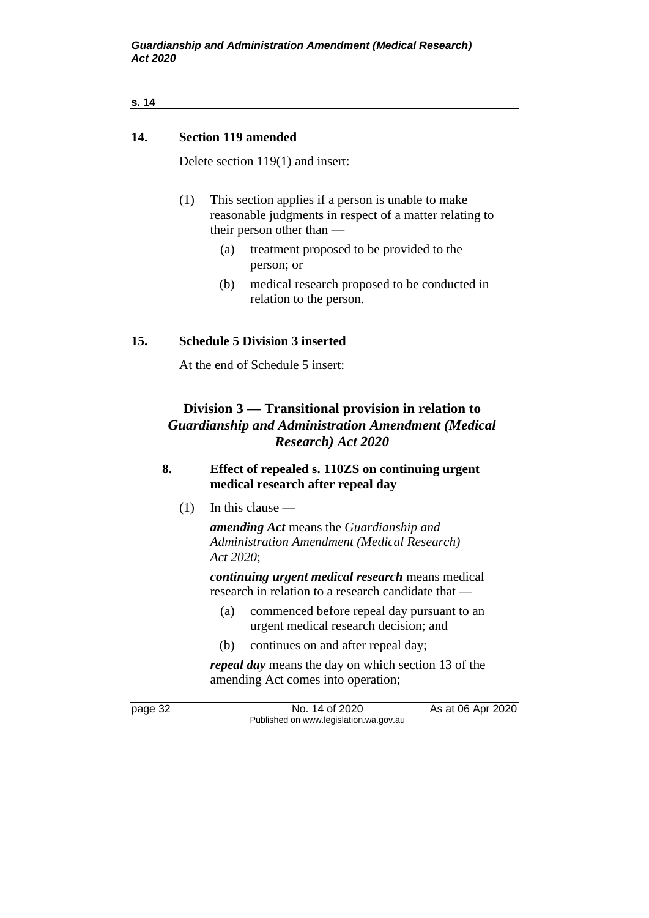### **14. Section 119 amended**

Delete section 119(1) and insert:

- (1) This section applies if a person is unable to make reasonable judgments in respect of a matter relating to their person other than —
	- (a) treatment proposed to be provided to the person; or
	- (b) medical research proposed to be conducted in relation to the person.

### **15. Schedule 5 Division 3 inserted**

At the end of Schedule 5 insert:

# **Division 3 — Transitional provision in relation to**  *Guardianship and Administration Amendment (Medical Research) Act 2020*

### **8. Effect of repealed s. 110ZS on continuing urgent medical research after repeal day**

(1) In this clause —

*amending Act* means the *Guardianship and Administration Amendment (Medical Research) Act 2020*;

*continuing urgent medical research* means medical research in relation to a research candidate that —

- (a) commenced before repeal day pursuant to an urgent medical research decision; and
- (b) continues on and after repeal day;

*repeal day* means the day on which section 13 of the amending Act comes into operation;

page 32 No. 14 of 2020 As at 06 Apr 2020 Published on www.legislation.wa.gov.au